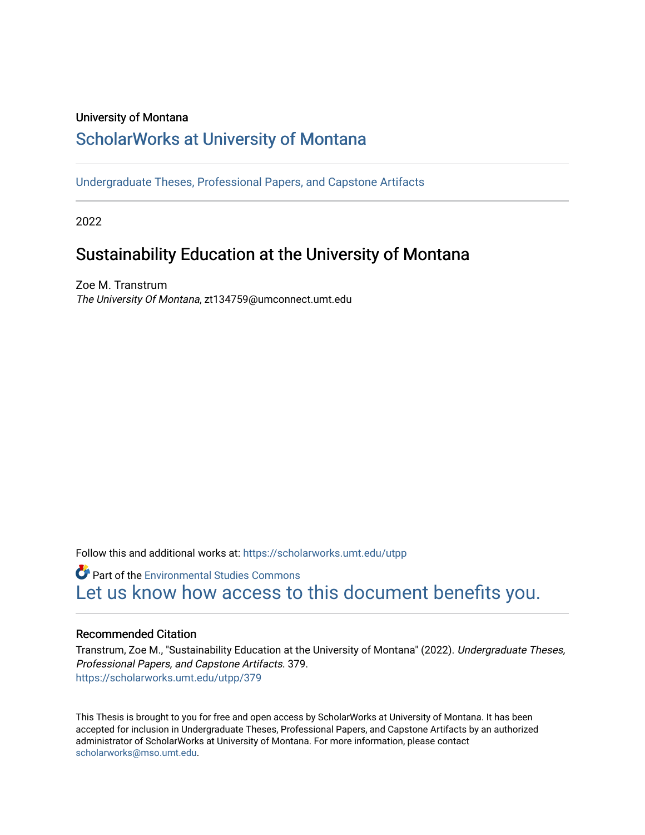#### University of Montana

### [ScholarWorks at University of Montana](https://scholarworks.umt.edu/)

[Undergraduate Theses, Professional Papers, and Capstone Artifacts](https://scholarworks.umt.edu/utpp)

2022

### Sustainability Education at the University of Montana

Zoe M. Transtrum The University Of Montana, zt134759@umconnect.umt.edu

Follow this and additional works at: [https://scholarworks.umt.edu/utpp](https://scholarworks.umt.edu/utpp?utm_source=scholarworks.umt.edu%2Futpp%2F379&utm_medium=PDF&utm_campaign=PDFCoverPages)

Part of the [Environmental Studies Commons](http://network.bepress.com/hgg/discipline/1333?utm_source=scholarworks.umt.edu%2Futpp%2F379&utm_medium=PDF&utm_campaign=PDFCoverPages) [Let us know how access to this document benefits you.](https://goo.gl/forms/s2rGfXOLzz71qgsB2) 

#### Recommended Citation

Transtrum, Zoe M., "Sustainability Education at the University of Montana" (2022). Undergraduate Theses, Professional Papers, and Capstone Artifacts. 379. [https://scholarworks.umt.edu/utpp/379](https://scholarworks.umt.edu/utpp/379?utm_source=scholarworks.umt.edu%2Futpp%2F379&utm_medium=PDF&utm_campaign=PDFCoverPages)

This Thesis is brought to you for free and open access by ScholarWorks at University of Montana. It has been accepted for inclusion in Undergraduate Theses, Professional Papers, and Capstone Artifacts by an authorized administrator of ScholarWorks at University of Montana. For more information, please contact [scholarworks@mso.umt.edu.](mailto:scholarworks@mso.umt.edu)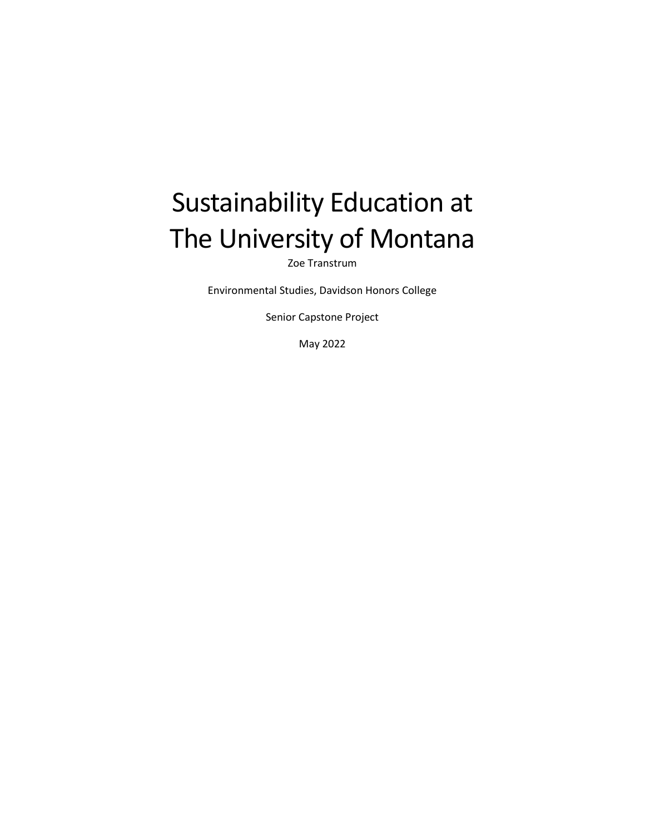# Sustainability Education at The University of Montana

Zoe Transtrum

Environmental Studies, Davidson Honors College

Senior Capstone Project

May 2022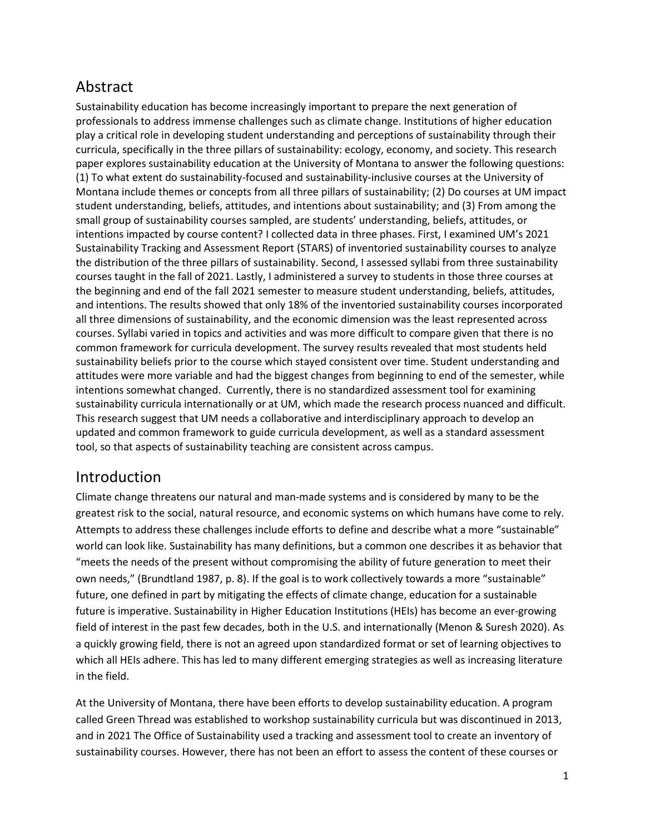### Abstract

Sustainability education has become increasingly important to prepare the next generation of professionals to address immense challenges such as climate change. Institutions of higher education play a critical role in developing student understanding and perceptions of sustainability through their curricula, specifically in the three pillars of sustainability: ecology, economy, and society. This research paper explores sustainability education at the University of Montana to answer the following questions: (1) To what extent do sustainability-focused and sustainability-inclusive courses at the University of Montana include themes or concepts from all three pillars of sustainability; (2) Do courses at UM impact student understanding, beliefs, attitudes, and intentions about sustainability; and (3) From among the small group of sustainability courses sampled, are students' understanding, beliefs, attitudes, or intentions impacted by course content? I collected data in three phases. First, I examined UM's 2021 Sustainability Tracking and Assessment Report (STARS) of inventoried sustainability courses to analyze the distribution of the three pillars of sustainability. Second, I assessed syllabi from three sustainability courses taught in the fall of 2021. Lastly, I administered a survey to students in those three courses at the beginning and end of the fall 2021 semester to measure student understanding, beliefs, attitudes, and intentions. The results showed that only 18% of the inventoried sustainability courses incorporated all three dimensions of sustainability, and the economic dimension was the least represented across courses. Syllabi varied in topics and activities and was more difficult to compare given that there is no common framework for curricula development. The survey results revealed that most students held sustainability beliefs prior to the course which stayed consistent over time. Student understanding and attitudes were more variable and had the biggest changes from beginning to end of the semester, while intentions somewhat changed. Currently, there is no standardized assessment tool for examining sustainability curricula internationally or at UM, which made the research process nuanced and difficult. This research suggest that UM needs a collaborative and interdisciplinary approach to develop an updated and common framework to guide curricula development, as well as a standard assessment tool, so that aspects of sustainability teaching are consistent across campus.

### Introduction

Climate change threatens our natural and man-made systems and is considered by many to be the greatest risk to the social, natural resource, and economic systems on which humans have come to rely. Attempts to address these challenges include efforts to define and describe what a more "sustainable" world can look like. Sustainability has many definitions, but a common one describes it as behavior that "meets the needs of the present without compromising the ability of future generation to meet their own needs," (Brundtland 1987, p. 8). If the goal is to work collectively towards a more "sustainable" future, one defined in part by mitigating the effects of climate change, education for a sustainable future is imperative. Sustainability in Higher Education Institutions (HEIs) has become an ever-growing field of interest in the past few decades, both in the U.S. and internationally (Menon & Suresh 2020). As a quickly growing field, there is not an agreed upon standardized format or set of learning objectives to which all HEIs adhere. This has led to many different emerging strategies as well as increasing literature in the field.

At the University of Montana, there have been efforts to develop sustainability education. A program called Green Thread was established to workshop sustainability curricula but was discontinued in 2013, and in 2021 The Office of Sustainability used a tracking and assessment tool to create an inventory of sustainability courses. However, there has not been an effort to assess the content of these courses or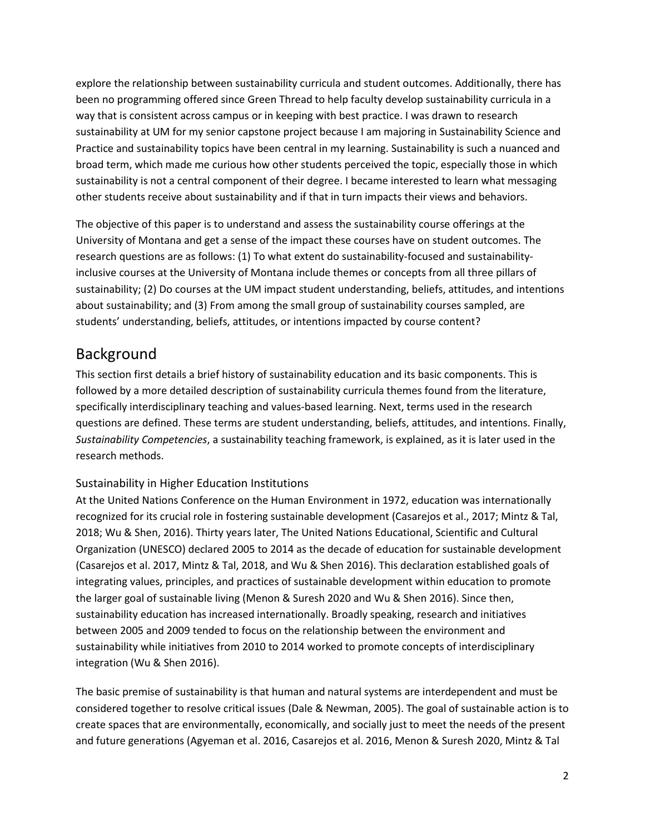explore the relationship between sustainability curricula and student outcomes. Additionally, there has been no programming offered since Green Thread to help faculty develop sustainability curricula in a way that is consistent across campus or in keeping with best practice. I was drawn to research sustainability at UM for my senior capstone project because I am majoring in Sustainability Science and Practice and sustainability topics have been central in my learning. Sustainability is such a nuanced and broad term, which made me curious how other students perceived the topic, especially those in which sustainability is not a central component of their degree. I became interested to learn what messaging other students receive about sustainability and if that in turn impacts their views and behaviors.

The objective of this paper is to understand and assess the sustainability course offerings at the University of Montana and get a sense of the impact these courses have on student outcomes. The research questions are as follows: (1) To what extent do sustainability-focused and sustainabilityinclusive courses at the University of Montana include themes or concepts from all three pillars of sustainability; (2) Do courses at the UM impact student understanding, beliefs, attitudes, and intentions about sustainability; and (3) From among the small group of sustainability courses sampled, are students' understanding, beliefs, attitudes, or intentions impacted by course content?

### Background

This section first details a brief history of sustainability education and its basic components. This is followed by a more detailed description of sustainability curricula themes found from the literature, specifically interdisciplinary teaching and values-based learning. Next, terms used in the research questions are defined. These terms are student understanding, beliefs, attitudes, and intentions. Finally, *Sustainability Competencies*, a sustainability teaching framework, is explained, as it is later used in the research methods.

#### Sustainability in Higher Education Institutions

At the United Nations Conference on the Human Environment in 1972, education was internationally recognized for its crucial role in fostering sustainable development (Casarejos et al., 2017; Mintz & Tal, 2018; Wu & Shen, 2016). Thirty years later, The United Nations Educational, Scientific and Cultural Organization (UNESCO) declared 2005 to 2014 as the decade of education for sustainable development (Casarejos et al. 2017, Mintz & Tal, 2018, and Wu & Shen 2016). This declaration established goals of integrating values, principles, and practices of sustainable development within education to promote the larger goal of sustainable living (Menon & Suresh 2020 and Wu & Shen 2016). Since then, sustainability education has increased internationally. Broadly speaking, research and initiatives between 2005 and 2009 tended to focus on the relationship between the environment and sustainability while initiatives from 2010 to 2014 worked to promote concepts of interdisciplinary integration (Wu & Shen 2016).

The basic premise of sustainability is that human and natural systems are interdependent and must be considered together to resolve critical issues (Dale & Newman, 2005). The goal of sustainable action is to create spaces that are environmentally, economically, and socially just to meet the needs of the present and future generations (Agyeman et al. 2016, Casarejos et al. 2016, Menon & Suresh 2020, Mintz & Tal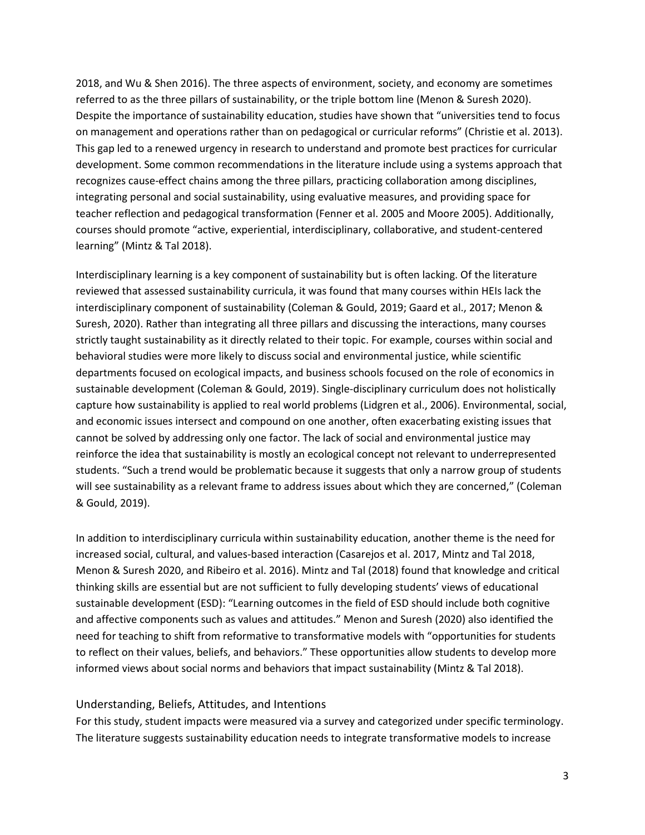2018, and Wu & Shen 2016). The three aspects of environment, society, and economy are sometimes referred to as the three pillars of sustainability, or the triple bottom line (Menon & Suresh 2020). Despite the importance of sustainability education, studies have shown that "universities tend to focus on management and operations rather than on pedagogical or curricular reforms" (Christie et al. 2013). This gap led to a renewed urgency in research to understand and promote best practices for curricular development. Some common recommendations in the literature include using a systems approach that recognizes cause-effect chains among the three pillars, practicing collaboration among disciplines, integrating personal and social sustainability, using evaluative measures, and providing space for teacher reflection and pedagogical transformation (Fenner et al. 2005 and Moore 2005). Additionally, courses should promote "active, experiential, interdisciplinary, collaborative, and student-centered learning" (Mintz & Tal 2018).

Interdisciplinary learning is a key component of sustainability but is often lacking. Of the literature reviewed that assessed sustainability curricula, it was found that many courses within HEIs lack the interdisciplinary component of sustainability (Coleman & Gould, 2019; Gaard et al., 2017; Menon & Suresh, 2020). Rather than integrating all three pillars and discussing the interactions, many courses strictly taught sustainability as it directly related to their topic. For example, courses within social and behavioral studies were more likely to discuss social and environmental justice, while scientific departments focused on ecological impacts, and business schools focused on the role of economics in sustainable development (Coleman & Gould, 2019). Single-disciplinary curriculum does not holistically capture how sustainability is applied to real world problems (Lidgren et al., 2006). Environmental, social, and economic issues intersect and compound on one another, often exacerbating existing issues that cannot be solved by addressing only one factor. The lack of social and environmental justice may reinforce the idea that sustainability is mostly an ecological concept not relevant to underrepresented students. "Such a trend would be problematic because it suggests that only a narrow group of students will see sustainability as a relevant frame to address issues about which they are concerned," (Coleman & Gould, 2019).

In addition to interdisciplinary curricula within sustainability education, another theme is the need for increased social, cultural, and values-based interaction (Casarejos et al. 2017, Mintz and Tal 2018, Menon & Suresh 2020, and Ribeiro et al. 2016). Mintz and Tal (2018) found that knowledge and critical thinking skills are essential but are not sufficient to fully developing students' views of educational sustainable development (ESD): "Learning outcomes in the field of ESD should include both cognitive and affective components such as values and attitudes." Menon and Suresh (2020) also identified the need for teaching to shift from reformative to transformative models with "opportunities for students to reflect on their values, beliefs, and behaviors." These opportunities allow students to develop more informed views about social norms and behaviors that impact sustainability (Mintz & Tal 2018).

#### Understanding, Beliefs, Attitudes, and Intentions

For this study, student impacts were measured via a survey and categorized under specific terminology. The literature suggests sustainability education needs to integrate transformative models to increase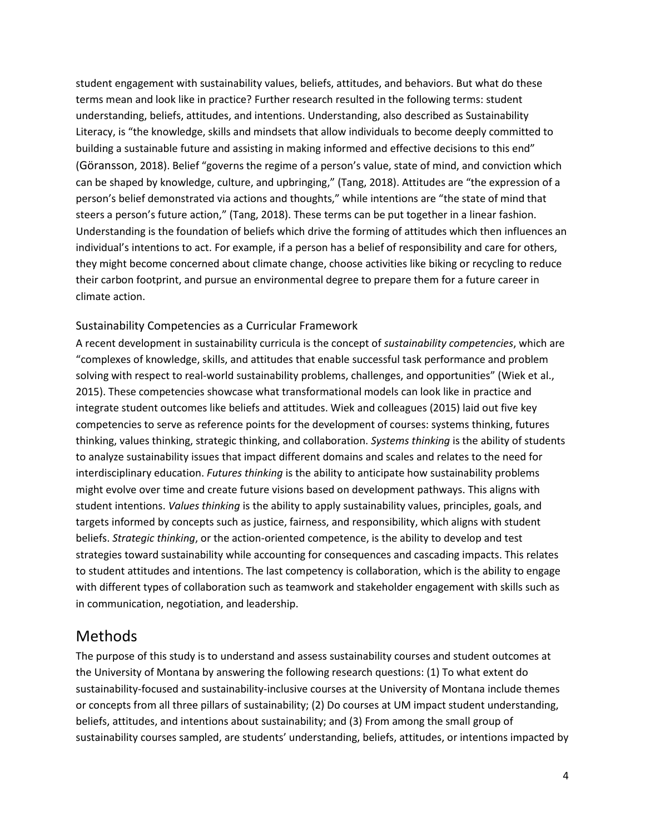student engagement with sustainability values, beliefs, attitudes, and behaviors. But what do these terms mean and look like in practice? Further research resulted in the following terms: student understanding, beliefs, attitudes, and intentions. Understanding, also described as Sustainability Literacy, is "the knowledge, skills and mindsets that allow individuals to become deeply committed to building a sustainable future and assisting in making informed and effective decisions to this end" (Göransson, 2018). Belief "governs the regime of a person's value, state of mind, and conviction which can be shaped by knowledge, culture, and upbringing," (Tang, 2018). Attitudes are "the expression of a person's belief demonstrated via actions and thoughts," while intentions are "the state of mind that steers a person's future action," (Tang, 2018). These terms can be put together in a linear fashion. Understanding is the foundation of beliefs which drive the forming of attitudes which then influences an individual's intentions to act. For example, if a person has a belief of responsibility and care for others, they might become concerned about climate change, choose activities like biking or recycling to reduce their carbon footprint, and pursue an environmental degree to prepare them for a future career in climate action.

#### Sustainability Competencies as a Curricular Framework

A recent development in sustainability curricula is the concept of *sustainability competencies*, which are "complexes of knowledge, skills, and attitudes that enable successful task performance and problem solving with respect to real-world sustainability problems, challenges, and opportunities" (Wiek et al., 2015). These competencies showcase what transformational models can look like in practice and integrate student outcomes like beliefs and attitudes. Wiek and colleagues (2015) laid out five key competencies to serve as reference points for the development of courses: systems thinking, futures thinking, values thinking, strategic thinking, and collaboration. *Systems thinking* is the ability of students to analyze sustainability issues that impact different domains and scales and relates to the need for interdisciplinary education. *Futures thinking* is the ability to anticipate how sustainability problems might evolve over time and create future visions based on development pathways. This aligns with student intentions. *Values thinking* is the ability to apply sustainability values, principles, goals, and targets informed by concepts such as justice, fairness, and responsibility, which aligns with student beliefs. *Strategic thinking*, or the action-oriented competence, is the ability to develop and test strategies toward sustainability while accounting for consequences and cascading impacts. This relates to student attitudes and intentions. The last competency is collaboration, which is the ability to engage with different types of collaboration such as teamwork and stakeholder engagement with skills such as in communication, negotiation, and leadership.

### Methods

The purpose of this study is to understand and assess sustainability courses and student outcomes at the University of Montana by answering the following research questions: (1) To what extent do sustainability-focused and sustainability-inclusive courses at the University of Montana include themes or concepts from all three pillars of sustainability; (2) Do courses at UM impact student understanding, beliefs, attitudes, and intentions about sustainability; and (3) From among the small group of sustainability courses sampled, are students' understanding, beliefs, attitudes, or intentions impacted by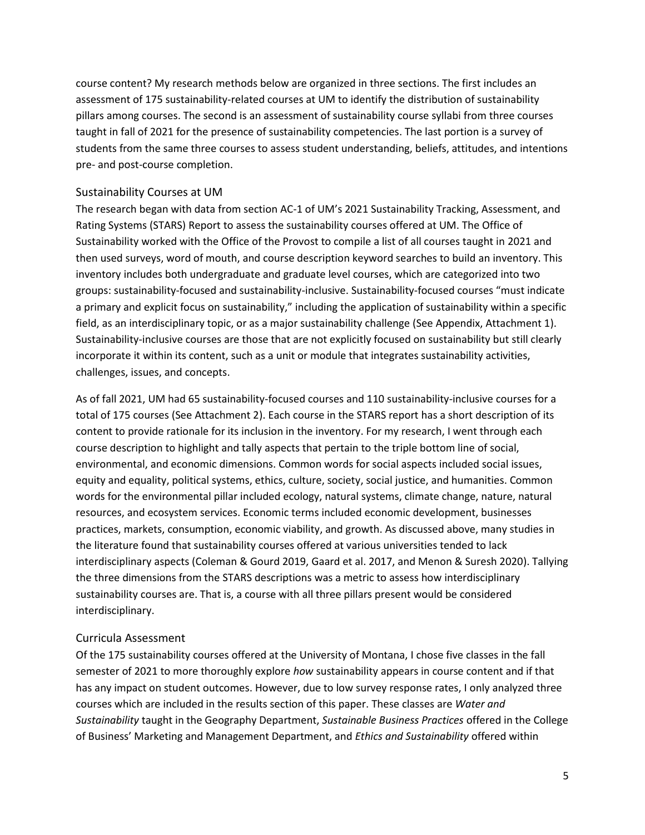course content? My research methods below are organized in three sections. The first includes an assessment of 175 sustainability-related courses at UM to identify the distribution of sustainability pillars among courses. The second is an assessment of sustainability course syllabi from three courses taught in fall of 2021 for the presence of sustainability competencies. The last portion is a survey of students from the same three courses to assess student understanding, beliefs, attitudes, and intentions pre- and post-course completion.

#### Sustainability Courses at UM

The research began with data from section AC-1 of UM's 2021 Sustainability Tracking, Assessment, and Rating Systems (STARS) Report to assess the sustainability courses offered at UM. The Office of Sustainability worked with the Office of the Provost to compile a list of all courses taught in 2021 and then used surveys, word of mouth, and course description keyword searches to build an inventory. This inventory includes both undergraduate and graduate level courses, which are categorized into two groups: sustainability-focused and sustainability-inclusive. Sustainability-focused courses "must indicate a primary and explicit focus on sustainability," including the application of sustainability within a specific field, as an interdisciplinary topic, or as a major sustainability challenge (See Appendix, Attachment 1). Sustainability-inclusive courses are those that are not explicitly focused on sustainability but still clearly incorporate it within its content, such as a unit or module that integrates sustainability activities, challenges, issues, and concepts.

As of fall 2021, UM had 65 sustainability-focused courses and 110 sustainability-inclusive courses for a total of 175 courses (See Attachment 2). Each course in the STARS report has a short description of its content to provide rationale for its inclusion in the inventory. For my research, I went through each course description to highlight and tally aspects that pertain to the triple bottom line of social, environmental, and economic dimensions. Common words for social aspects included social issues, equity and equality, political systems, ethics, culture, society, social justice, and humanities. Common words for the environmental pillar included ecology, natural systems, climate change, nature, natural resources, and ecosystem services. Economic terms included economic development, businesses practices, markets, consumption, economic viability, and growth. As discussed above, many studies in the literature found that sustainability courses offered at various universities tended to lack interdisciplinary aspects (Coleman & Gourd 2019, Gaard et al. 2017, and Menon & Suresh 2020). Tallying the three dimensions from the STARS descriptions was a metric to assess how interdisciplinary sustainability courses are. That is, a course with all three pillars present would be considered interdisciplinary.

#### Curricula Assessment

Of the 175 sustainability courses offered at the University of Montana, I chose five classes in the fall semester of 2021 to more thoroughly explore *how* sustainability appears in course content and if that has any impact on student outcomes. However, due to low survey response rates, I only analyzed three courses which are included in the results section of this paper. These classes are *Water and Sustainability* taught in the Geography Department, *Sustainable Business Practices* offered in the College of Business' Marketing and Management Department, and *Ethics and Sustainability* offered within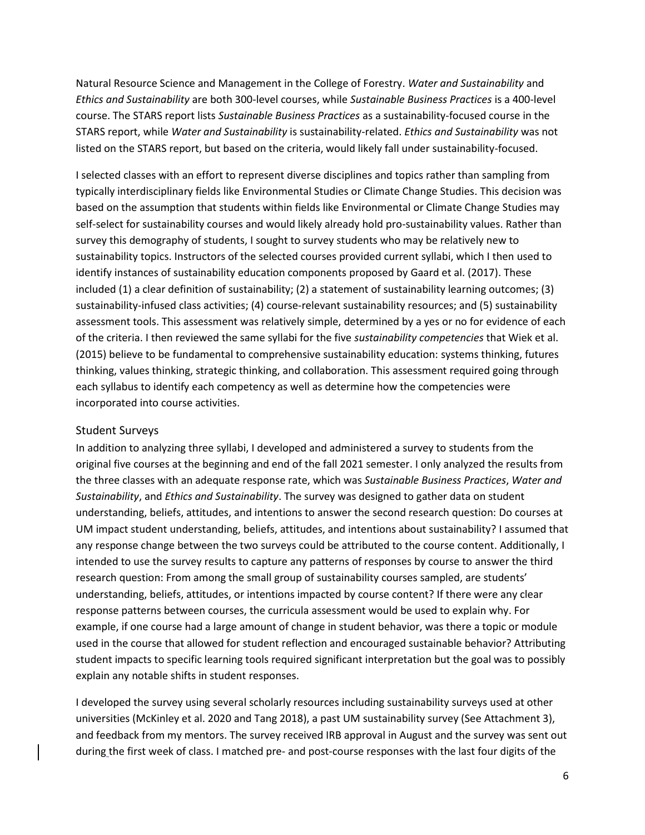Natural Resource Science and Management in the College of Forestry. *Water and Sustainability* and *Ethics and Sustainability* are both 300-level courses, while *Sustainable Business Practices* is a 400-level course. The STARS report lists *Sustainable Business Practices* as a sustainability-focused course in the STARS report, while *Water and Sustainability* is sustainability-related. *Ethics and Sustainability* was not listed on the STARS report, but based on the criteria, would likely fall under sustainability-focused.

I selected classes with an effort to represent diverse disciplines and topics rather than sampling from typically interdisciplinary fields like Environmental Studies or Climate Change Studies. This decision was based on the assumption that students within fields like Environmental or Climate Change Studies may self-select for sustainability courses and would likely already hold pro-sustainability values. Rather than survey this demography of students, I sought to survey students who may be relatively new to sustainability topics. Instructors of the selected courses provided current syllabi, which I then used to identify instances of sustainability education components proposed by Gaard et al. (2017). These included (1) a clear definition of sustainability; (2) a statement of sustainability learning outcomes; (3) sustainability-infused class activities; (4) course-relevant sustainability resources; and (5) sustainability assessment tools. This assessment was relatively simple, determined by a yes or no for evidence of each of the criteria. I then reviewed the same syllabi for the five *sustainability competencies* that Wiek et al. (2015) believe to be fundamental to comprehensive sustainability education: systems thinking, futures thinking, values thinking, strategic thinking, and collaboration. This assessment required going through each syllabus to identify each competency as well as determine how the competencies were incorporated into course activities.

#### Student Surveys

In addition to analyzing three syllabi, I developed and administered a survey to students from the original five courses at the beginning and end of the fall 2021 semester. I only analyzed the results from the three classes with an adequate response rate, which was *Sustainable Business Practices*, *Water and Sustainability*, and *Ethics and Sustainability*. The survey was designed to gather data on student understanding, beliefs, attitudes, and intentions to answer the second research question: Do courses at UM impact student understanding, beliefs, attitudes, and intentions about sustainability? I assumed that any response change between the two surveys could be attributed to the course content. Additionally, I intended to use the survey results to capture any patterns of responses by course to answer the third research question: From among the small group of sustainability courses sampled, are students' understanding, beliefs, attitudes, or intentions impacted by course content? If there were any clear response patterns between courses, the curricula assessment would be used to explain why. For example, if one course had a large amount of change in student behavior, was there a topic or module used in the course that allowed for student reflection and encouraged sustainable behavior? Attributing student impacts to specific learning tools required significant interpretation but the goal was to possibly explain any notable shifts in student responses.

I developed the survey using several scholarly resources including sustainability surveys used at other universities (McKinley et al. 2020 and Tang 2018), a past UM sustainability survey (See Attachment 3), and feedback from my mentors. The survey received IRB approval in August and the survey was sent out during the first week of class. I matched pre- and post-course responses with the last four digits of the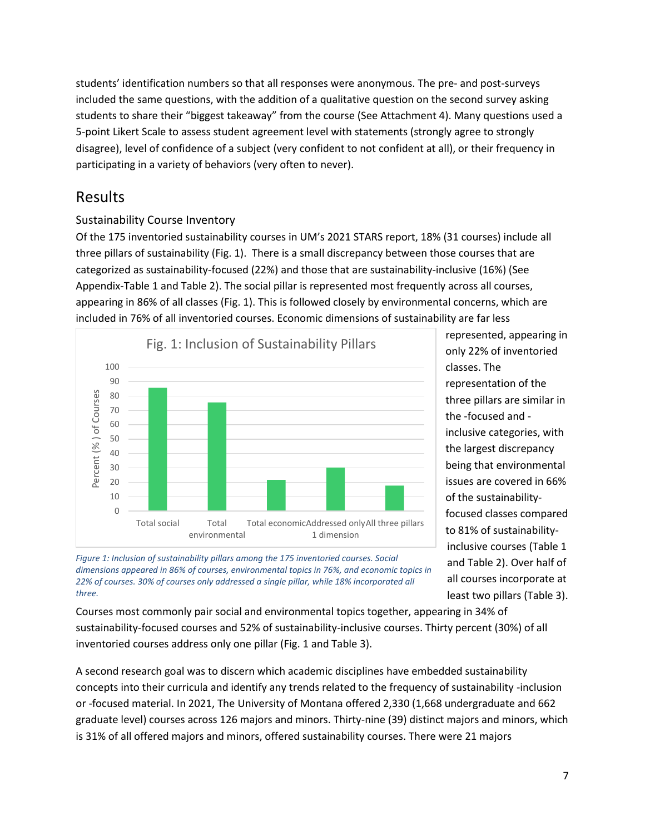students' identification numbers so that all responses were anonymous. The pre- and post-surveys included the same questions, with the addition of a qualitative question on the second survey asking students to share their "biggest takeaway" from the course (See Attachment 4). Many questions used a 5-point Likert Scale to assess student agreement level with statements (strongly agree to strongly disagree), level of confidence of a subject (very confident to not confident at all), or their frequency in participating in a variety of behaviors (very often to never).

### Results

### Sustainability Course Inventory

Of the 175 inventoried sustainability courses in UM's 2021 STARS report, 18% (31 courses) include all three pillars of sustainability (Fig. 1). There is a small discrepancy between those courses that are categorized as sustainability-focused (22%) and those that are sustainability-inclusive (16%) (See Appendix-Table 1 and Table 2). The social pillar is represented most frequently across all courses, appearing in 86% of all classes (Fig. 1). This is followed closely by environmental concerns, which are included in 76% of all inventoried courses. Economic dimensions of sustainability are far less



represented, appearing in only 22% of inventoried classes. The representation of the three pillars are similar in the -focused and inclusive categories, with the largest discrepancy being that environmental issues are covered in 66% of the sustainabilityfocused classes compared to 81% of sustainabilityinclusive courses (Table 1 and Table 2). Over half of all courses incorporate at least two pillars (Table 3).

*Figure 1: Inclusion of sustainability pillars among the 175 inventoried courses. Social dimensions appeared in 86% of courses, environmental topics in 76%, and economic topics in 22% of courses. 30% of courses only addressed a single pillar, while 18% incorporated all three.*

Courses most commonly pair social and environmental topics together, appearing in 34% of sustainability-focused courses and 52% of sustainability-inclusive courses. Thirty percent (30%) of all inventoried courses address only one pillar (Fig. 1 and Table 3).

A second research goal was to discern which academic disciplines have embedded sustainability concepts into their curricula and identify any trends related to the frequency of sustainability -inclusion or -focused material. In 2021, The University of Montana offered 2,330 (1,668 undergraduate and 662 graduate level) courses across 126 majors and minors. Thirty-nine (39) distinct majors and minors, which is 31% of all offered majors and minors, offered sustainability courses. There were 21 majors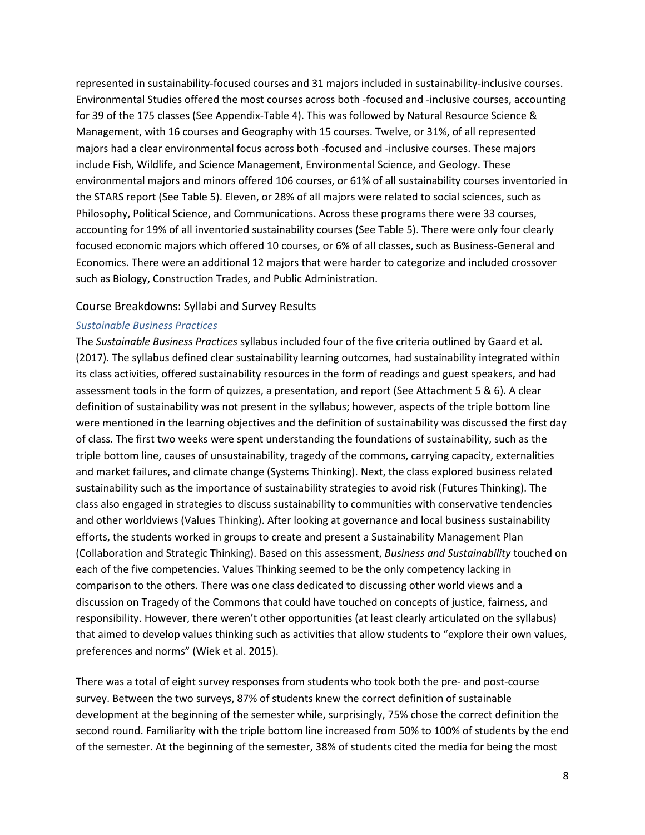represented in sustainability-focused courses and 31 majors included in sustainability-inclusive courses. Environmental Studies offered the most courses across both -focused and -inclusive courses, accounting for 39 of the 175 classes (See Appendix-Table 4). This was followed by Natural Resource Science & Management, with 16 courses and Geography with 15 courses. Twelve, or 31%, of all represented majors had a clear environmental focus across both -focused and -inclusive courses. These majors include Fish, Wildlife, and Science Management, Environmental Science, and Geology. These environmental majors and minors offered 106 courses, or 61% of all sustainability courses inventoried in the STARS report (See Table 5). Eleven, or 28% of all majors were related to social sciences, such as Philosophy, Political Science, and Communications. Across these programs there were 33 courses, accounting for 19% of all inventoried sustainability courses (See Table 5). There were only four clearly focused economic majors which offered 10 courses, or 6% of all classes, such as Business-General and Economics. There were an additional 12 majors that were harder to categorize and included crossover such as Biology, Construction Trades, and Public Administration.

#### Course Breakdowns: Syllabi and Survey Results

#### *Sustainable Business Practices*

The *Sustainable Business Practices* syllabus included four of the five criteria outlined by Gaard et al. (2017). The syllabus defined clear sustainability learning outcomes, had sustainability integrated within its class activities, offered sustainability resources in the form of readings and guest speakers, and had assessment tools in the form of quizzes, a presentation, and report (See Attachment 5 & 6). A clear definition of sustainability was not present in the syllabus; however, aspects of the triple bottom line were mentioned in the learning objectives and the definition of sustainability was discussed the first day of class. The first two weeks were spent understanding the foundations of sustainability, such as the triple bottom line, causes of unsustainability, tragedy of the commons, carrying capacity, externalities and market failures, and climate change (Systems Thinking). Next, the class explored business related sustainability such as the importance of sustainability strategies to avoid risk (Futures Thinking). The class also engaged in strategies to discuss sustainability to communities with conservative tendencies and other worldviews (Values Thinking). After looking at governance and local business sustainability efforts, the students worked in groups to create and present a Sustainability Management Plan (Collaboration and Strategic Thinking). Based on this assessment, *Business and Sustainability* touched on each of the five competencies. Values Thinking seemed to be the only competency lacking in comparison to the others. There was one class dedicated to discussing other world views and a discussion on Tragedy of the Commons that could have touched on concepts of justice, fairness, and responsibility. However, there weren't other opportunities (at least clearly articulated on the syllabus) that aimed to develop values thinking such as activities that allow students to "explore their own values, preferences and norms" (Wiek et al. 2015).

There was a total of eight survey responses from students who took both the pre- and post-course survey. Between the two surveys, 87% of students knew the correct definition of sustainable development at the beginning of the semester while, surprisingly, 75% chose the correct definition the second round. Familiarity with the triple bottom line increased from 50% to 100% of students by the end of the semester. At the beginning of the semester, 38% of students cited the media for being the most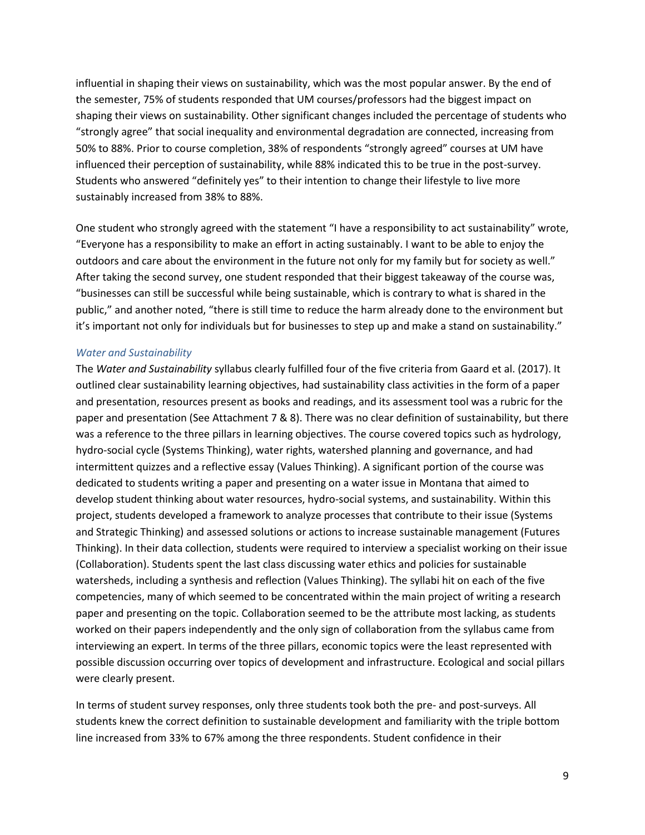influential in shaping their views on sustainability, which was the most popular answer. By the end of the semester, 75% of students responded that UM courses/professors had the biggest impact on shaping their views on sustainability. Other significant changes included the percentage of students who "strongly agree" that social inequality and environmental degradation are connected, increasing from 50% to 88%. Prior to course completion, 38% of respondents "strongly agreed" courses at UM have influenced their perception of sustainability, while 88% indicated this to be true in the post-survey. Students who answered "definitely yes" to their intention to change their lifestyle to live more sustainably increased from 38% to 88%.

One student who strongly agreed with the statement "I have a responsibility to act sustainability" wrote, "Everyone has a responsibility to make an effort in acting sustainably. I want to be able to enjoy the outdoors and care about the environment in the future not only for my family but for society as well." After taking the second survey, one student responded that their biggest takeaway of the course was, "businesses can still be successful while being sustainable, which is contrary to what is shared in the public," and another noted, "there is still time to reduce the harm already done to the environment but it's important not only for individuals but for businesses to step up and make a stand on sustainability."

#### *Water and Sustainability*

The *Water and Sustainability* syllabus clearly fulfilled four of the five criteria from Gaard et al. (2017). It outlined clear sustainability learning objectives, had sustainability class activities in the form of a paper and presentation, resources present as books and readings, and its assessment tool was a rubric for the paper and presentation (See Attachment 7 & 8). There was no clear definition of sustainability, but there was a reference to the three pillars in learning objectives. The course covered topics such as hydrology, hydro-social cycle (Systems Thinking), water rights, watershed planning and governance, and had intermittent quizzes and a reflective essay (Values Thinking). A significant portion of the course was dedicated to students writing a paper and presenting on a water issue in Montana that aimed to develop student thinking about water resources, hydro-social systems, and sustainability. Within this project, students developed a framework to analyze processes that contribute to their issue (Systems and Strategic Thinking) and assessed solutions or actions to increase sustainable management (Futures Thinking). In their data collection, students were required to interview a specialist working on their issue (Collaboration). Students spent the last class discussing water ethics and policies for sustainable watersheds, including a synthesis and reflection (Values Thinking). The syllabi hit on each of the five competencies, many of which seemed to be concentrated within the main project of writing a research paper and presenting on the topic. Collaboration seemed to be the attribute most lacking, as students worked on their papers independently and the only sign of collaboration from the syllabus came from interviewing an expert. In terms of the three pillars, economic topics were the least represented with possible discussion occurring over topics of development and infrastructure. Ecological and social pillars were clearly present.

In terms of student survey responses, only three students took both the pre- and post-surveys. All students knew the correct definition to sustainable development and familiarity with the triple bottom line increased from 33% to 67% among the three respondents. Student confidence in their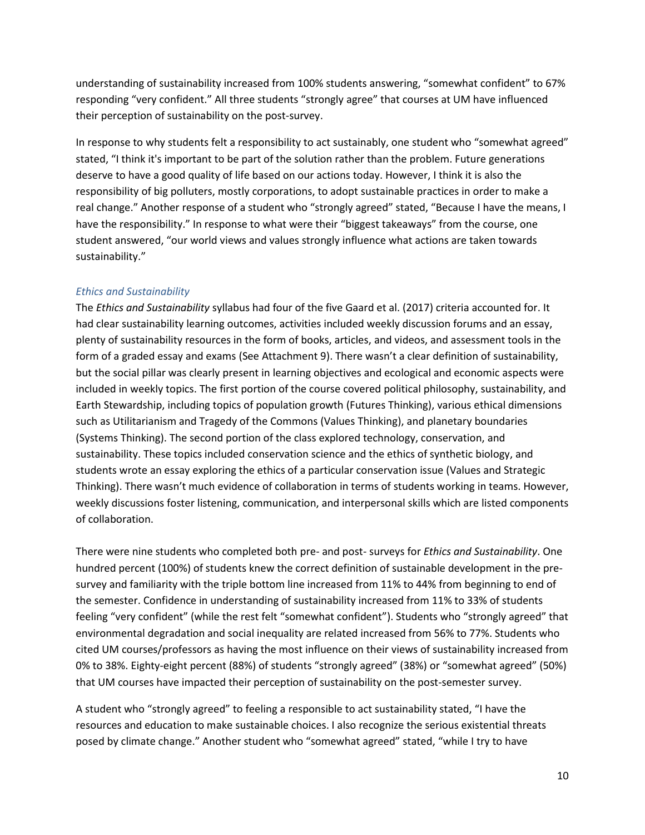understanding of sustainability increased from 100% students answering, "somewhat confident" to 67% responding "very confident." All three students "strongly agree" that courses at UM have influenced their perception of sustainability on the post-survey.

In response to why students felt a responsibility to act sustainably, one student who "somewhat agreed" stated, "I think it's important to be part of the solution rather than the problem. Future generations deserve to have a good quality of life based on our actions today. However, I think it is also the responsibility of big polluters, mostly corporations, to adopt sustainable practices in order to make a real change." Another response of a student who "strongly agreed" stated, "Because I have the means, I have the responsibility." In response to what were their "biggest takeaways" from the course, one student answered, "our world views and values strongly influence what actions are taken towards sustainability."

#### *Ethics and Sustainability*

The *Ethics and Sustainability* syllabus had four of the five Gaard et al. (2017) criteria accounted for. It had clear sustainability learning outcomes, activities included weekly discussion forums and an essay, plenty of sustainability resources in the form of books, articles, and videos, and assessment tools in the form of a graded essay and exams (See Attachment 9). There wasn't a clear definition of sustainability, but the social pillar was clearly present in learning objectives and ecological and economic aspects were included in weekly topics. The first portion of the course covered political philosophy, sustainability, and Earth Stewardship, including topics of population growth (Futures Thinking), various ethical dimensions such as Utilitarianism and Tragedy of the Commons (Values Thinking), and planetary boundaries (Systems Thinking). The second portion of the class explored technology, conservation, and sustainability. These topics included conservation science and the ethics of synthetic biology, and students wrote an essay exploring the ethics of a particular conservation issue (Values and Strategic Thinking). There wasn't much evidence of collaboration in terms of students working in teams. However, weekly discussions foster listening, communication, and interpersonal skills which are listed components of collaboration.

There were nine students who completed both pre- and post- surveys for *Ethics and Sustainability*. One hundred percent (100%) of students knew the correct definition of sustainable development in the presurvey and familiarity with the triple bottom line increased from 11% to 44% from beginning to end of the semester. Confidence in understanding of sustainability increased from 11% to 33% of students feeling "very confident" (while the rest felt "somewhat confident"). Students who "strongly agreed" that environmental degradation and social inequality are related increased from 56% to 77%. Students who cited UM courses/professors as having the most influence on their views of sustainability increased from 0% to 38%. Eighty-eight percent (88%) of students "strongly agreed" (38%) or "somewhat agreed" (50%) that UM courses have impacted their perception of sustainability on the post-semester survey.

A student who "strongly agreed" to feeling a responsible to act sustainability stated, "I have the resources and education to make sustainable choices. I also recognize the serious existential threats posed by climate change." Another student who "somewhat agreed" stated, "while I try to have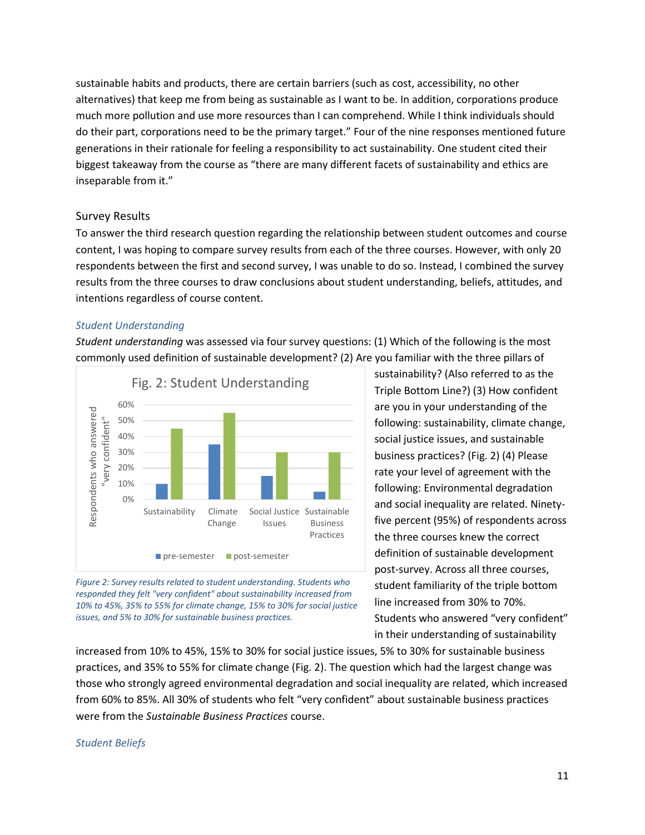sustainable habits and products, there are certain barriers (such as cost, accessibility, no other alternatives) that keep me from being as sustainable as I want to be. In addition, corporations produce much more pollution and use more resources than I can comprehend. While I think individuals should do their part, corporations need to be the primary target." Four of the nine responses mentioned future generations in their rationale for feeling a responsibility to act sustainability. One student cited their biggest takeaway from the course as "there are many different facets of sustainability and ethics are inseparable from it."

#### Survey Results

To answer the third research question regarding the relationship between student outcomes and course content, I was hoping to compare survey results from each of the three courses. However, with only 20 respondents between the first and second survey, I was unable to do so. Instead, I combined the survey results from the three courses to draw conclusions about student understanding, beliefs, attitudes, and intentions regardless of course content.

#### *Student Understanding*

*Student understanding* was assessed via four survey questions: (1) Which of the following is the most commonly used definition of sustainable development? (2) Are you familiar with the three pillars of





sustainability? (Also referred to as the Triple Bottom Line?) (3) How confident are you in your understanding of the following: sustainability, climate change, social justice issues, and sustainable business practices? (Fig. 2) (4) Please rate your level of agreement with the following: Environmental degradation and social inequality are related. Ninetyfive percent (95%) of respondents across the three courses knew the correct definition of sustainable development post-survey. Across all three courses, student familiarity of the triple bottom line increased from 30% to 70%. Students who answered "very confident" in their understanding of sustainability

increased from 10% to 45%, 15% to 30% for social justice issues, 5% to 30% for sustainable business practices, and 35% to 55% for climate change (Fig. 2). The question which had the largest change was those who strongly agreed environmental degradation and social inequality are related, which increased from 60% to 85%. All 30% of students who felt "very confident" about sustainable business practices were from the *Sustainable Business Practices* course.

#### *Student Beliefs*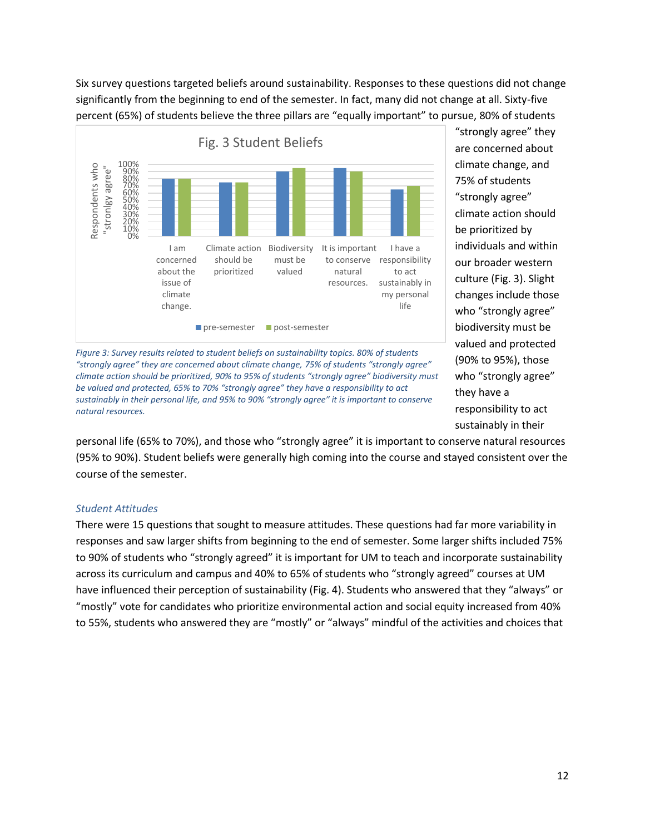Six survey questions targeted beliefs around sustainability. Responses to these questions did not change significantly from the beginning to end of the semester. In fact, many did not change at all. Sixty-five percent (65%) of students believe the three pillars are "equally important" to pursue, 80% of students



*Figure 3: Survey results related to student beliefs on sustainability topics. 80% of students "strongly agree" they are concerned about climate change, 75% of students "strongly agree" climate action should be prioritized, 90% to 95% of students "strongly agree" biodiversity must be valued and protected, 65% to 70% "strongly agree" they have a responsibility to act sustainably in their personal life, and 95% to 90% "strongly agree" it is important to conserve natural resources.*

"strongly agree" they are concerned about climate change, and 75% of students "strongly agree" climate action should be prioritized by individuals and within our broader western culture (Fig. 3). Slight changes include those who "strongly agree" biodiversity must be valued and protected (90% to 95%), those who "strongly agree" they have a responsibility to act sustainably in their

personal life (65% to 70%), and those who "strongly agree" it is important to conserve natural resources (95% to 90%). Student beliefs were generally high coming into the course and stayed consistent over the course of the semester.

#### *Student Attitudes*

There were 15 questions that sought to measure attitudes. These questions had far more variability in responses and saw larger shifts from beginning to the end of semester. Some larger shifts included 75% to 90% of students who "strongly agreed" it is important for UM to teach and incorporate sustainability across its curriculum and campus and 40% to 65% of students who "strongly agreed" courses at UM have influenced their perception of sustainability (Fig. 4). Students who answered that they "always" or "mostly" vote for candidates who prioritize environmental action and social equity increased from 40% to 55%, students who answered they are "mostly" or "always" mindful of the activities and choices that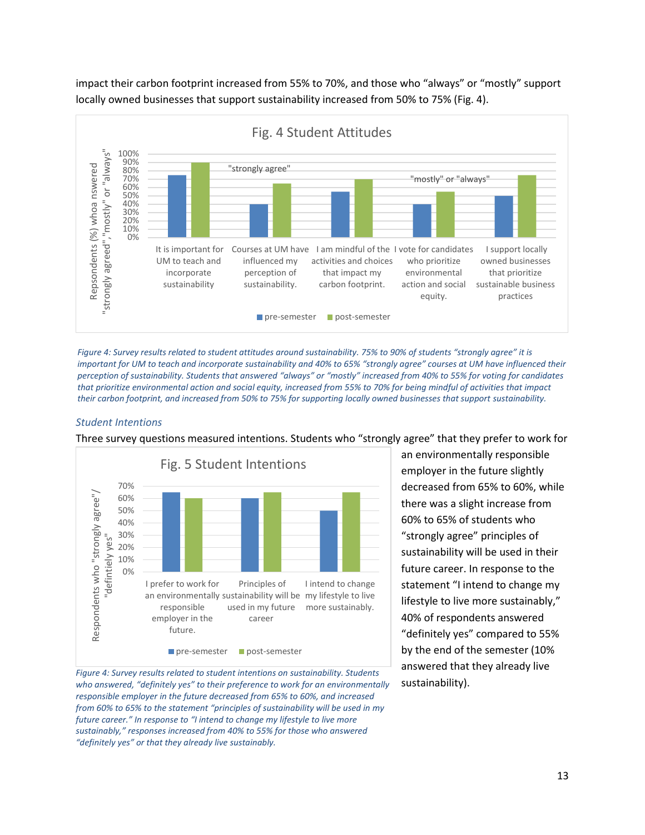impact their carbon footprint increased from 55% to 70%, and those who "always" or "mostly" support locally owned businesses that support sustainability increased from 50% to 75% (Fig. 4).



*Figure 4: Survey results related to student attitudes around sustainability. 75% to 90% of students "strongly agree" it is important for UM to teach and incorporate sustainability and 40% to 65% "strongly agree" courses at UM have influenced their perception of sustainability. Students that answered "always" or "mostly" increased from 40% to 55% for voting for candidates that prioritize environmental action and social equity, increased from 55% to 70% for being mindful of activities that impact their carbon footprint, and increased from 50% to 75% for supporting locally owned businesses that support sustainability.*

#### *Student Intentions*

Three survey questions measured intentions. Students who "strongly agree" that they prefer to work for



*Figure 4: Survey results related to student intentions on sustainability. Students who answered, "definitely yes" to their preference to work for an environmentally responsible employer in the future decreased from 65% to 60%, and increased from 60% to 65% to the statement "principles of sustainability will be used in my future career." In response to "I intend to change my lifestyle to live more sustainably," responses increased from 40% to 55% for those who answered "definitely yes" or that they already live sustainably.*

an environmentally responsible employer in the future slightly decreased from 65% to 60%, while there was a slight increase from 60% to 65% of students who "strongly agree" principles of sustainability will be used in their future career. In response to the statement "I intend to change my lifestyle to live more sustainably," 40% of respondents answered "definitely yes" compared to 55% by the end of the semester (10% answered that they already live sustainability).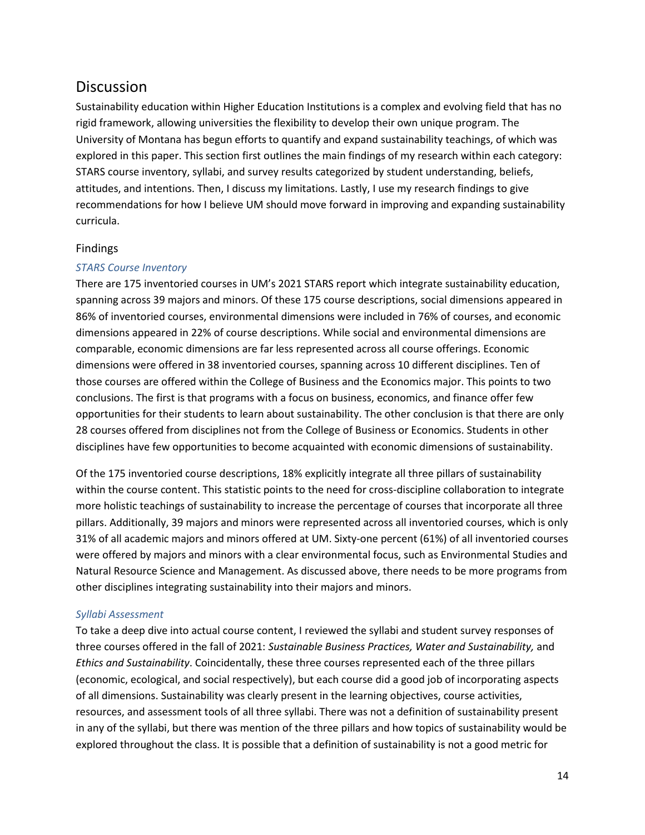### **Discussion**

Sustainability education within Higher Education Institutions is a complex and evolving field that has no rigid framework, allowing universities the flexibility to develop their own unique program. The University of Montana has begun efforts to quantify and expand sustainability teachings, of which was explored in this paper. This section first outlines the main findings of my research within each category: STARS course inventory, syllabi, and survey results categorized by student understanding, beliefs, attitudes, and intentions. Then, I discuss my limitations. Lastly, I use my research findings to give recommendations for how I believe UM should move forward in improving and expanding sustainability curricula.

#### Findings

#### *STARS Course Inventory*

There are 175 inventoried courses in UM's 2021 STARS report which integrate sustainability education, spanning across 39 majors and minors. Of these 175 course descriptions, social dimensions appeared in 86% of inventoried courses, environmental dimensions were included in 76% of courses, and economic dimensions appeared in 22% of course descriptions. While social and environmental dimensions are comparable, economic dimensions are far less represented across all course offerings. Economic dimensions were offered in 38 inventoried courses, spanning across 10 different disciplines. Ten of those courses are offered within the College of Business and the Economics major. This points to two conclusions. The first is that programs with a focus on business, economics, and finance offer few opportunities for their students to learn about sustainability. The other conclusion is that there are only 28 courses offered from disciplines not from the College of Business or Economics. Students in other disciplines have few opportunities to become acquainted with economic dimensions of sustainability.

Of the 175 inventoried course descriptions, 18% explicitly integrate all three pillars of sustainability within the course content. This statistic points to the need for cross-discipline collaboration to integrate more holistic teachings of sustainability to increase the percentage of courses that incorporate all three pillars. Additionally, 39 majors and minors were represented across all inventoried courses, which is only 31% of all academic majors and minors offered at UM. Sixty-one percent (61%) of all inventoried courses were offered by majors and minors with a clear environmental focus, such as Environmental Studies and Natural Resource Science and Management. As discussed above, there needs to be more programs from other disciplines integrating sustainability into their majors and minors.

#### *Syllabi Assessment*

To take a deep dive into actual course content, I reviewed the syllabi and student survey responses of three courses offered in the fall of 2021: *Sustainable Business Practices, Water and Sustainability,* and *Ethics and Sustainability*. Coincidentally, these three courses represented each of the three pillars (economic, ecological, and social respectively), but each course did a good job of incorporating aspects of all dimensions. Sustainability was clearly present in the learning objectives, course activities, resources, and assessment tools of all three syllabi. There was not a definition of sustainability present in any of the syllabi, but there was mention of the three pillars and how topics of sustainability would be explored throughout the class. It is possible that a definition of sustainability is not a good metric for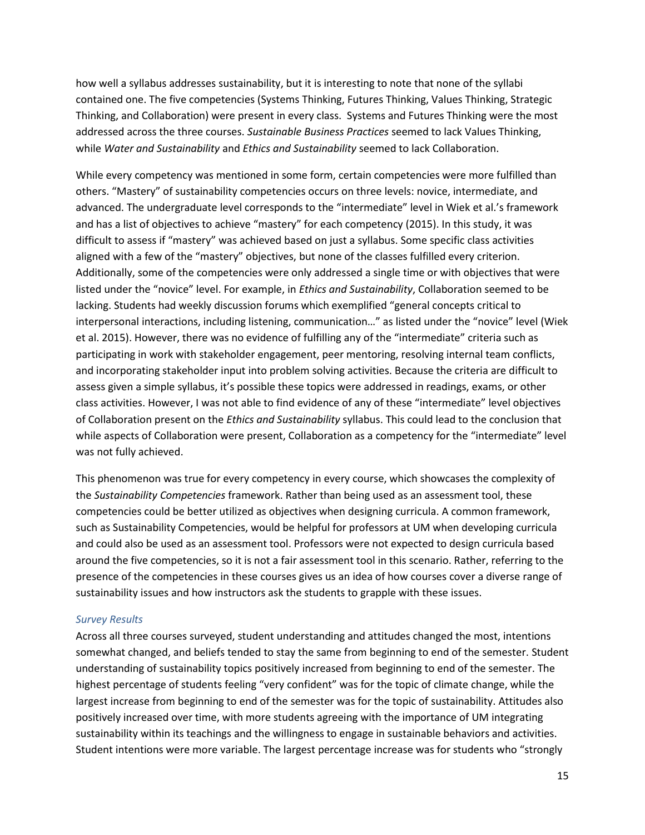how well a syllabus addresses sustainability, but it is interesting to note that none of the syllabi contained one. The five competencies (Systems Thinking, Futures Thinking, Values Thinking, Strategic Thinking, and Collaboration) were present in every class. Systems and Futures Thinking were the most addressed across the three courses. *Sustainable Business Practices* seemed to lack Values Thinking, while *Water and Sustainability* and *Ethics and Sustainability* seemed to lack Collaboration.

While every competency was mentioned in some form, certain competencies were more fulfilled than others. "Mastery" of sustainability competencies occurs on three levels: novice, intermediate, and advanced. The undergraduate level corresponds to the "intermediate" level in Wiek et al.'s framework and has a list of objectives to achieve "mastery" for each competency (2015). In this study, it was difficult to assess if "mastery" was achieved based on just a syllabus. Some specific class activities aligned with a few of the "mastery" objectives, but none of the classes fulfilled every criterion. Additionally, some of the competencies were only addressed a single time or with objectives that were listed under the "novice" level. For example, in *Ethics and Sustainability*, Collaboration seemed to be lacking. Students had weekly discussion forums which exemplified "general concepts critical to interpersonal interactions, including listening, communication…" as listed under the "novice" level (Wiek et al. 2015). However, there was no evidence of fulfilling any of the "intermediate" criteria such as participating in work with stakeholder engagement, peer mentoring, resolving internal team conflicts, and incorporating stakeholder input into problem solving activities. Because the criteria are difficult to assess given a simple syllabus, it's possible these topics were addressed in readings, exams, or other class activities. However, I was not able to find evidence of any of these "intermediate" level objectives of Collaboration present on the *Ethics and Sustainability* syllabus. This could lead to the conclusion that while aspects of Collaboration were present, Collaboration as a competency for the "intermediate" level was not fully achieved.

This phenomenon was true for every competency in every course, which showcases the complexity of the *Sustainability Competencies* framework. Rather than being used as an assessment tool, these competencies could be better utilized as objectives when designing curricula. A common framework, such as Sustainability Competencies, would be helpful for professors at UM when developing curricula and could also be used as an assessment tool. Professors were not expected to design curricula based around the five competencies, so it is not a fair assessment tool in this scenario. Rather, referring to the presence of the competencies in these courses gives us an idea of how courses cover a diverse range of sustainability issues and how instructors ask the students to grapple with these issues.

#### *Survey Results*

Across all three courses surveyed, student understanding and attitudes changed the most, intentions somewhat changed, and beliefs tended to stay the same from beginning to end of the semester. Student understanding of sustainability topics positively increased from beginning to end of the semester. The highest percentage of students feeling "very confident" was for the topic of climate change, while the largest increase from beginning to end of the semester was for the topic of sustainability. Attitudes also positively increased over time, with more students agreeing with the importance of UM integrating sustainability within its teachings and the willingness to engage in sustainable behaviors and activities. Student intentions were more variable. The largest percentage increase was for students who "strongly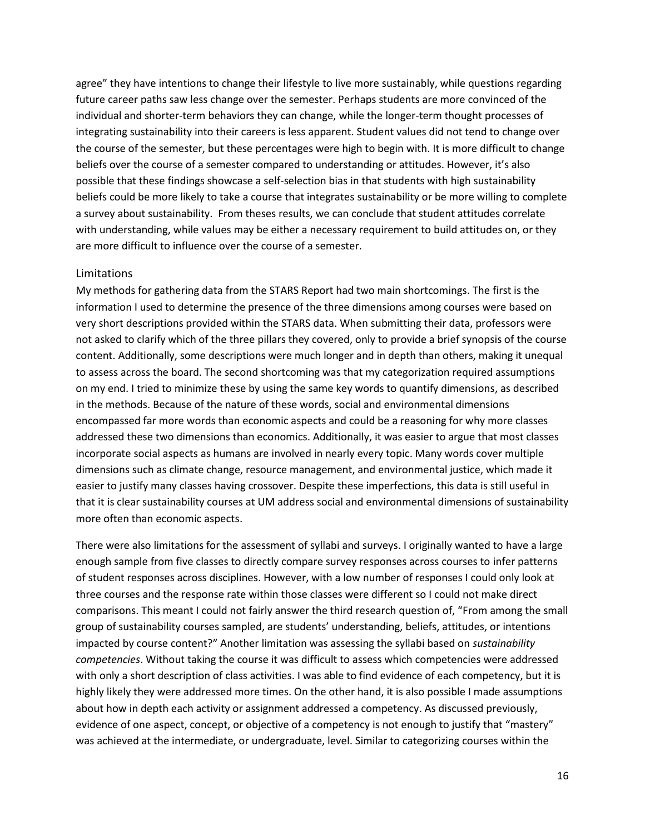agree" they have intentions to change their lifestyle to live more sustainably, while questions regarding future career paths saw less change over the semester. Perhaps students are more convinced of the individual and shorter-term behaviors they can change, while the longer-term thought processes of integrating sustainability into their careers is less apparent. Student values did not tend to change over the course of the semester, but these percentages were high to begin with. It is more difficult to change beliefs over the course of a semester compared to understanding or attitudes. However, it's also possible that these findings showcase a self-selection bias in that students with high sustainability beliefs could be more likely to take a course that integrates sustainability or be more willing to complete a survey about sustainability. From theses results, we can conclude that student attitudes correlate with understanding, while values may be either a necessary requirement to build attitudes on, or they are more difficult to influence over the course of a semester.

#### Limitations

My methods for gathering data from the STARS Report had two main shortcomings. The first is the information I used to determine the presence of the three dimensions among courses were based on very short descriptions provided within the STARS data. When submitting their data, professors were not asked to clarify which of the three pillars they covered, only to provide a brief synopsis of the course content. Additionally, some descriptions were much longer and in depth than others, making it unequal to assess across the board. The second shortcoming was that my categorization required assumptions on my end. I tried to minimize these by using the same key words to quantify dimensions, as described in the methods. Because of the nature of these words, social and environmental dimensions encompassed far more words than economic aspects and could be a reasoning for why more classes addressed these two dimensions than economics. Additionally, it was easier to argue that most classes incorporate social aspects as humans are involved in nearly every topic. Many words cover multiple dimensions such as climate change, resource management, and environmental justice, which made it easier to justify many classes having crossover. Despite these imperfections, this data is still useful in that it is clear sustainability courses at UM address social and environmental dimensions of sustainability more often than economic aspects.

There were also limitations for the assessment of syllabi and surveys. I originally wanted to have a large enough sample from five classes to directly compare survey responses across courses to infer patterns of student responses across disciplines. However, with a low number of responses I could only look at three courses and the response rate within those classes were different so I could not make direct comparisons. This meant I could not fairly answer the third research question of, "From among the small group of sustainability courses sampled, are students' understanding, beliefs, attitudes, or intentions impacted by course content?" Another limitation was assessing the syllabi based on *sustainability competencies*. Without taking the course it was difficult to assess which competencies were addressed with only a short description of class activities. I was able to find evidence of each competency, but it is highly likely they were addressed more times. On the other hand, it is also possible I made assumptions about how in depth each activity or assignment addressed a competency. As discussed previously, evidence of one aspect, concept, or objective of a competency is not enough to justify that "mastery" was achieved at the intermediate, or undergraduate, level. Similar to categorizing courses within the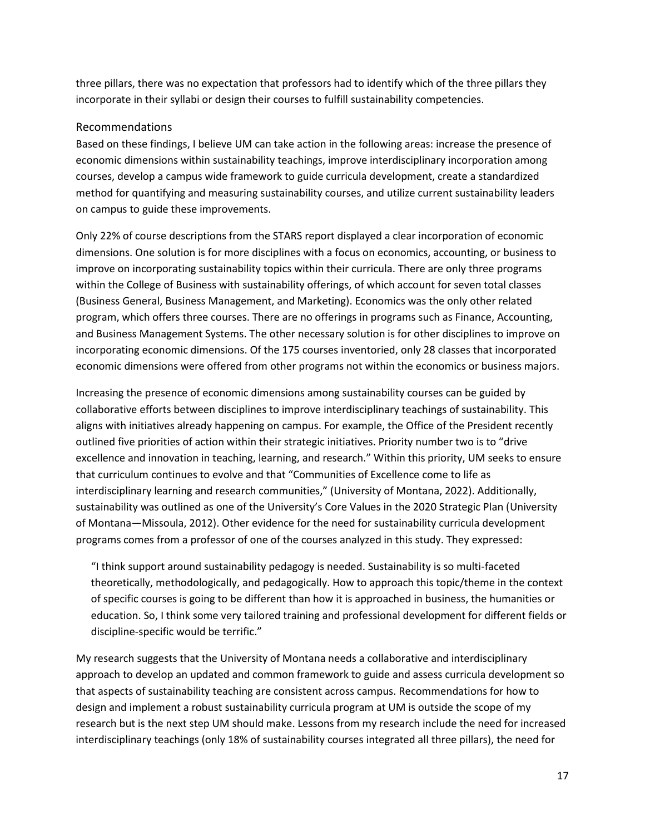three pillars, there was no expectation that professors had to identify which of the three pillars they incorporate in their syllabi or design their courses to fulfill sustainability competencies.

#### Recommendations

Based on these findings, I believe UM can take action in the following areas: increase the presence of economic dimensions within sustainability teachings, improve interdisciplinary incorporation among courses, develop a campus wide framework to guide curricula development, create a standardized method for quantifying and measuring sustainability courses, and utilize current sustainability leaders on campus to guide these improvements.

Only 22% of course descriptions from the STARS report displayed a clear incorporation of economic dimensions. One solution is for more disciplines with a focus on economics, accounting, or business to improve on incorporating sustainability topics within their curricula. There are only three programs within the College of Business with sustainability offerings, of which account for seven total classes (Business General, Business Management, and Marketing). Economics was the only other related program, which offers three courses. There are no offerings in programs such as Finance, Accounting, and Business Management Systems. The other necessary solution is for other disciplines to improve on incorporating economic dimensions. Of the 175 courses inventoried, only 28 classes that incorporated economic dimensions were offered from other programs not within the economics or business majors.

Increasing the presence of economic dimensions among sustainability courses can be guided by collaborative efforts between disciplines to improve interdisciplinary teachings of sustainability. This aligns with initiatives already happening on campus. For example, the Office of the President recently outlined five priorities of action within their strategic initiatives. Priority number two is to "drive excellence and innovation in teaching, learning, and research." Within this priority, UM seeks to ensure that curriculum continues to evolve and that "Communities of Excellence come to life as interdisciplinary learning and research communities," (University of Montana, 2022). Additionally, sustainability was outlined as one of the University's Core Values in the 2020 Strategic Plan (University of Montana—Missoula, 2012). Other evidence for the need for sustainability curricula development programs comes from a professor of one of the courses analyzed in this study. They expressed:

"I think support around sustainability pedagogy is needed. Sustainability is so multi-faceted theoretically, methodologically, and pedagogically. How to approach this topic/theme in the context of specific courses is going to be different than how it is approached in business, the humanities or education. So, I think some very tailored training and professional development for different fields or discipline-specific would be terrific."

My research suggests that the University of Montana needs a collaborative and interdisciplinary approach to develop an updated and common framework to guide and assess curricula development so that aspects of sustainability teaching are consistent across campus. Recommendations for how to design and implement a robust sustainability curricula program at UM is outside the scope of my research but is the next step UM should make. Lessons from my research include the need for increased interdisciplinary teachings (only 18% of sustainability courses integrated all three pillars), the need for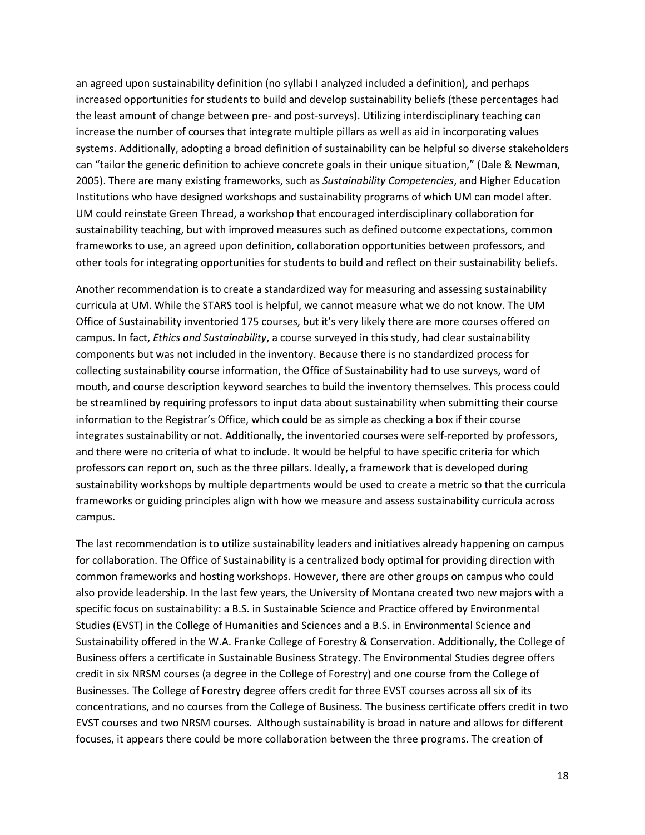an agreed upon sustainability definition (no syllabi I analyzed included a definition), and perhaps increased opportunities for students to build and develop sustainability beliefs (these percentages had the least amount of change between pre- and post-surveys). Utilizing interdisciplinary teaching can increase the number of courses that integrate multiple pillars as well as aid in incorporating values systems. Additionally, adopting a broad definition of sustainability can be helpful so diverse stakeholders can "tailor the generic definition to achieve concrete goals in their unique situation," (Dale & Newman, 2005). There are many existing frameworks, such as *Sustainability Competencies*, and Higher Education Institutions who have designed workshops and sustainability programs of which UM can model after. UM could reinstate Green Thread, a workshop that encouraged interdisciplinary collaboration for sustainability teaching, but with improved measures such as defined outcome expectations, common frameworks to use, an agreed upon definition, collaboration opportunities between professors, and other tools for integrating opportunities for students to build and reflect on their sustainability beliefs.

Another recommendation is to create a standardized way for measuring and assessing sustainability curricula at UM. While the STARS tool is helpful, we cannot measure what we do not know. The UM Office of Sustainability inventoried 175 courses, but it's very likely there are more courses offered on campus. In fact, *Ethics and Sustainability*, a course surveyed in this study, had clear sustainability components but was not included in the inventory. Because there is no standardized process for collecting sustainability course information, the Office of Sustainability had to use surveys, word of mouth, and course description keyword searches to build the inventory themselves. This process could be streamlined by requiring professors to input data about sustainability when submitting their course information to the Registrar's Office, which could be as simple as checking a box if their course integrates sustainability or not. Additionally, the inventoried courses were self-reported by professors, and there were no criteria of what to include. It would be helpful to have specific criteria for which professors can report on, such as the three pillars. Ideally, a framework that is developed during sustainability workshops by multiple departments would be used to create a metric so that the curricula frameworks or guiding principles align with how we measure and assess sustainability curricula across campus.

The last recommendation is to utilize sustainability leaders and initiatives already happening on campus for collaboration. The Office of Sustainability is a centralized body optimal for providing direction with common frameworks and hosting workshops. However, there are other groups on campus who could also provide leadership. In the last few years, the University of Montana created two new majors with a specific focus on sustainability: a B.S. in Sustainable Science and Practice offered by Environmental Studies (EVST) in the College of Humanities and Sciences and a B.S. in Environmental Science and Sustainability offered in the W.A. Franke College of Forestry & Conservation. Additionally, the College of Business offers a certificate in Sustainable Business Strategy. The Environmental Studies degree offers credit in six NRSM courses (a degree in the College of Forestry) and one course from the College of Businesses. The College of Forestry degree offers credit for three EVST courses across all six of its concentrations, and no courses from the College of Business. The business certificate offers credit in two EVST courses and two NRSM courses. Although sustainability is broad in nature and allows for different focuses, it appears there could be more collaboration between the three programs. The creation of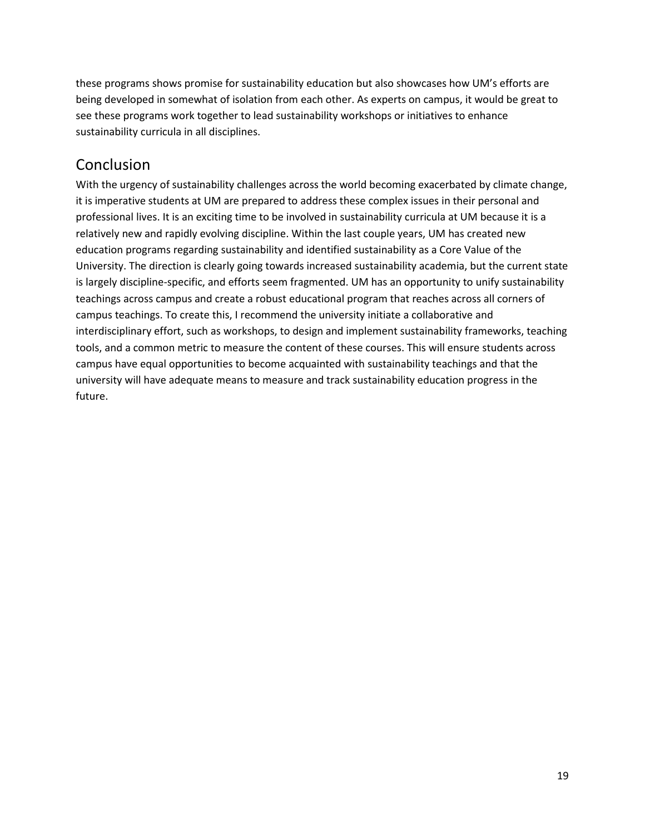these programs shows promise for sustainability education but also showcases how UM's efforts are being developed in somewhat of isolation from each other. As experts on campus, it would be great to see these programs work together to lead sustainability workshops or initiatives to enhance sustainability curricula in all disciplines.

### Conclusion

With the urgency of sustainability challenges across the world becoming exacerbated by climate change, it is imperative students at UM are prepared to address these complex issues in their personal and professional lives. It is an exciting time to be involved in sustainability curricula at UM because it is a relatively new and rapidly evolving discipline. Within the last couple years, UM has created new education programs regarding sustainability and identified sustainability as a Core Value of the University. The direction is clearly going towards increased sustainability academia, but the current state is largely discipline-specific, and efforts seem fragmented. UM has an opportunity to unify sustainability teachings across campus and create a robust educational program that reaches across all corners of campus teachings. To create this, I recommend the university initiate a collaborative and interdisciplinary effort, such as workshops, to design and implement sustainability frameworks, teaching tools, and a common metric to measure the content of these courses. This will ensure students across campus have equal opportunities to become acquainted with sustainability teachings and that the university will have adequate means to measure and track sustainability education progress in the future.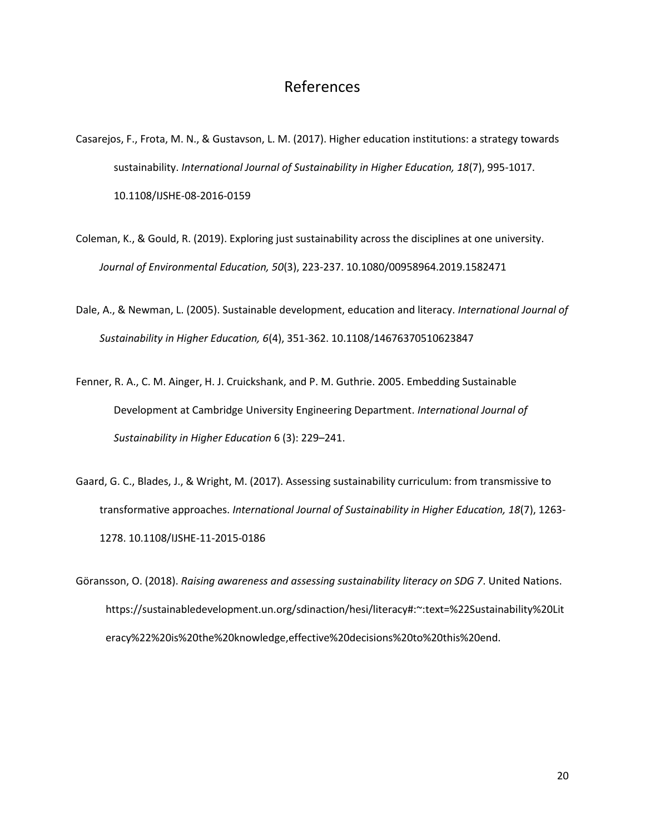### References

- Casarejos, F., Frota, M. N., & Gustavson, L. M. (2017). Higher education institutions: a strategy towards sustainability. *International Journal of Sustainability in Higher Education, 18*(7), 995-1017. 10.1108/IJSHE-08-2016-0159
- Coleman, K., & Gould, R. (2019). Exploring just sustainability across the disciplines at one university. *Journal of Environmental Education, 50*(3), 223-237. 10.1080/00958964.2019.1582471
- Dale, A., & Newman, L. (2005). Sustainable development, education and literacy. *International Journal of Sustainability in Higher Education, 6*(4), 351-362. 10.1108/14676370510623847
- Fenner, R. A., C. M. Ainger, H. J. Cruickshank, and P. M. Guthrie. 2005. Embedding Sustainable Development at Cambridge University Engineering Department. *International Journal of Sustainability in Higher Education* 6 (3): 229–241.
- Gaard, G. C., Blades, J., & Wright, M. (2017). Assessing sustainability curriculum: from transmissive to transformative approaches. *International Journal of Sustainability in Higher Education, 18*(7), 1263- 1278. 10.1108/IJSHE-11-2015-0186
- Göransson, O. (2018). *Raising awareness and assessing sustainability literacy on SDG 7*. United Nations. https://sustainabledevelopment.un.org/sdinaction/hesi/literacy#:~:text=%22Sustainability%20Lit eracy%22%20is%20the%20knowledge,effective%20decisions%20to%20this%20end.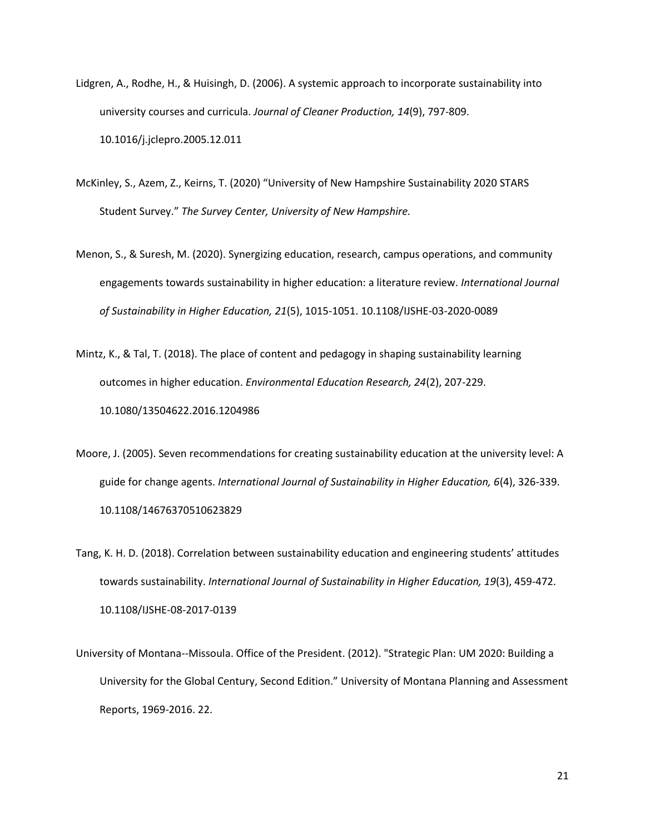- Lidgren, A., Rodhe, H., & Huisingh, D. (2006). A systemic approach to incorporate sustainability into university courses and curricula. *Journal of Cleaner Production, 14*(9), 797-809. 10.1016/j.jclepro.2005.12.011
- McKinley, S., Azem, Z., Keirns, T. (2020) "University of New Hampshire Sustainability 2020 STARS Student Survey." *The Survey Center, University of New Hampshire.*
- Menon, S., & Suresh, M. (2020). Synergizing education, research, campus operations, and community engagements towards sustainability in higher education: a literature review. *International Journal of Sustainability in Higher Education, 21*(5), 1015-1051. 10.1108/IJSHE-03-2020-0089
- Mintz, K., & Tal, T. (2018). The place of content and pedagogy in shaping sustainability learning outcomes in higher education. *Environmental Education Research, 24*(2), 207-229. 10.1080/13504622.2016.1204986
- Moore, J. (2005). Seven recommendations for creating sustainability education at the university level: A guide for change agents. *International Journal of Sustainability in Higher Education, 6*(4), 326-339. 10.1108/14676370510623829
- Tang, K. H. D. (2018). Correlation between sustainability education and engineering students' attitudes towards sustainability. *International Journal of Sustainability in Higher Education, 19*(3), 459-472. 10.1108/IJSHE-08-2017-0139
- University of Montana--Missoula. Office of the President. (2012). "Strategic Plan: UM 2020: Building a University for the Global Century, Second Edition." University of Montana Planning and Assessment Reports, 1969-2016. 22.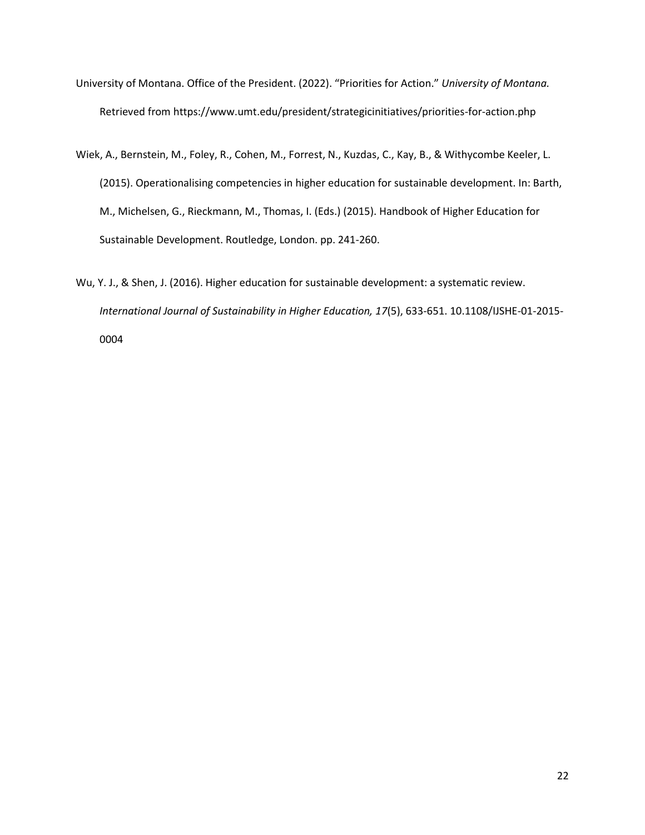- University of Montana. Office of the President. (2022). "Priorities for Action." *University of Montana.* Retrieved from https://www.umt.edu/president/strategicinitiatives/priorities-for-action.php
- Wiek, A., Bernstein, M., Foley, R., Cohen, M., Forrest, N., Kuzdas, C., Kay, B., & Withycombe Keeler, L. (2015). Operationalising competencies in higher education for sustainable development. In: Barth, M., Michelsen, G., Rieckmann, M., Thomas, I. (Eds.) (2015). Handbook of Higher Education for Sustainable Development. Routledge, London. pp. 241-260.
- Wu, Y. J., & Shen, J. (2016). Higher education for sustainable development: a systematic review. *International Journal of Sustainability in Higher Education, 17*(5), 633-651. 10.1108/IJSHE-01-2015- 0004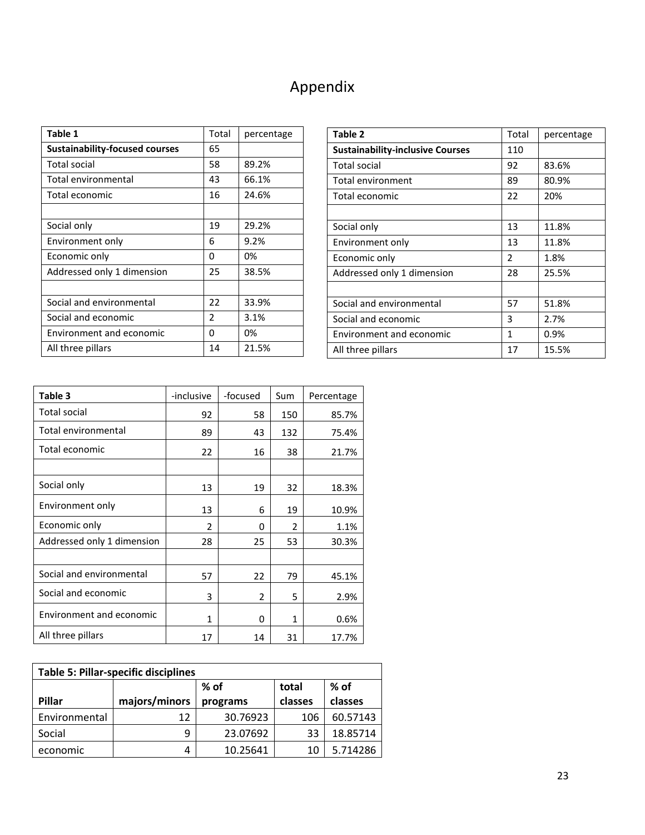## Appendix

| Table 1                               | Total | percentage |
|---------------------------------------|-------|------------|
| <b>Sustainability-focused courses</b> | 65    |            |
| <b>Total social</b>                   | 58    | 89.2%      |
| Total environmental                   | 43    | 66.1%      |
| Total economic                        | 16    | 24.6%      |
|                                       |       |            |
| Social only                           | 19    | 29.2%      |
| Environment only                      | 6     | 9.2%       |
| Economic only                         | 0     | 0%         |
| Addressed only 1 dimension            | 25    | 38.5%      |
|                                       |       |            |
| Social and environmental              | 22    | 33.9%      |
| Social and economic                   | 2     | 3.1%       |
| Environment and economic              | 0     | 0%         |
| All three pillars                     | 14    | 21.5%      |

| Table 2                                 | Total | percentage |
|-----------------------------------------|-------|------------|
| <b>Sustainability-inclusive Courses</b> | 110   |            |
| <b>Total social</b>                     | 92    | 83.6%      |
| <b>Total environment</b>                | 89    | 80.9%      |
| Total economic                          | 22    | 20%        |
|                                         |       |            |
| Social only                             | 13    | 11.8%      |
| Environment only                        | 13    | 11.8%      |
| Economic only                           | 2     | 1.8%       |
| Addressed only 1 dimension              | 28    | 25.5%      |
|                                         |       |            |
| Social and environmental                | 57    | 51.8%      |
| Social and economic                     | 3     | 2.7%       |
| Environment and economic                | 1     | 0.9%       |
| All three pillars                       | 17    | 15.5%      |

| Table 3                    | -inclusive     | -focused | Sum           | Percentage |
|----------------------------|----------------|----------|---------------|------------|
| <b>Total social</b>        | 92             | 58       | 150           | 85.7%      |
| Total environmental        | 89             | 43       | 132           | 75.4%      |
| Total economic             | 22             | 16       | 38            | 21.7%      |
|                            |                |          |               |            |
| Social only                | 13             | 19       | 32            | 18.3%      |
| Environment only           | 13             | 6        | 19            | 10.9%      |
| Economic only              | $\mathfrak{p}$ | 0        | $\mathfrak z$ | 1.1%       |
| Addressed only 1 dimension | 28             | 25       | 53            | 30.3%      |
|                            |                |          |               |            |
| Social and environmental   | 57             | 22       | 79            | 45.1%      |
| Social and economic        | 3              | 2        | 5             | 2.9%       |
| Environment and economic   | 1              | 0        | 1             | 0.6%       |
| All three pillars          | 17             | 14       | 31            | 17.7%      |

| <b>Table 5: Pillar-specific disciplines</b> |               |          |         |          |
|---------------------------------------------|---------------|----------|---------|----------|
|                                             |               | $%$ of   | total   | % of     |
| Pillar                                      | majors/minors | programs | classes | classes  |
| Environmental                               | 12            | 30.76923 | 106     | 60.57143 |
| Social                                      | q             | 23.07692 | 33      | 18.85714 |
| economic                                    | 4             | 10.25641 | 10      | 5.714286 |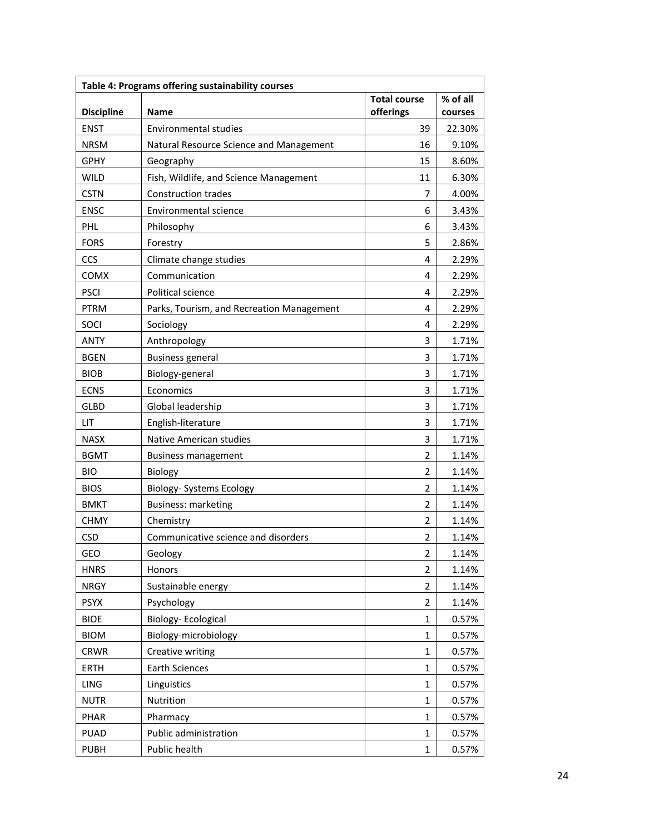| % of all<br><b>Total course</b><br><b>Discipline</b><br>offerings<br><b>Name</b><br>courses<br><b>ENST</b><br><b>Environmental studies</b><br>39<br>22.30%<br><b>NRSM</b><br>Natural Resource Science and Management<br>16<br>9.10%<br><b>GPHY</b><br>Geography<br>8.60%<br>15<br><b>WILD</b><br>Fish, Wildlife, and Science Management<br>11<br>6.30%<br><b>CSTN</b><br><b>Construction trades</b><br>7<br>4.00%<br><b>ENSC</b><br>Environmental science<br>6<br>3.43%<br>PHL<br>Philosophy<br>6<br>3.43%<br><b>FORS</b><br>5<br>2.86%<br>Forestry<br>Climate change studies<br>2.29%<br><b>CCS</b><br>4<br>Communication<br>COMX<br>2.29%<br>4<br><b>PSCI</b><br>Political science<br>4<br>2.29%<br>PTRM<br>Parks, Tourism, and Recreation Management<br>2.29%<br>4<br>Sociology<br>2.29%<br><b>SOCI</b><br>4<br>Anthropology<br>1.71%<br><b>ANTY</b><br>3<br><b>BGEN</b><br><b>Business general</b><br>3<br>1.71%<br>Biology-general<br>1.71%<br><b>BIOB</b><br>3<br><b>ECNS</b><br>Economics<br>1.71%<br>3<br><b>GLBD</b><br>Global leadership<br>3<br>1.71%<br>LIT<br>English-literature<br>3<br>1.71%<br>Native American studies<br>1.71%<br>NASX<br>3<br><b>BGMT</b><br>$\overline{2}$<br>1.14%<br><b>Business management</b><br><b>BIO</b><br>Biology<br>1.14%<br>2<br><b>Biology- Systems Ecology</b><br>BIOS<br>2<br>1.14%<br>1.14%<br><b>BMKT</b><br><b>Business: marketing</b><br>$\overline{2}$<br><b>CHMY</b><br>Chemistry<br>1.14%<br>2<br><b>CSD</b><br>Communicative science and disorders<br>2<br>1.14%<br><b>GEO</b><br>Geology<br>1.14%<br>2<br><b>HNRS</b><br>Honors<br>1.14%<br>2<br>Sustainable energy<br><b>NRGY</b><br>2<br>1.14%<br><b>PSYX</b><br>Psychology<br>2<br>1.14%<br><b>Biology-Ecological</b><br><b>BIOE</b><br>$\mathbf 1$<br>0.57%<br>Biology-microbiology<br><b>BIOM</b><br>1<br>0.57%<br>Creative writing<br><b>CRWR</b><br>1<br>0.57%<br><b>Earth Sciences</b><br><b>ERTH</b><br>0.57%<br>1<br>LING<br>Linguistics<br>1<br>0.57%<br>Nutrition<br><b>NUTR</b><br>$\mathbf{1}$<br>0.57%<br><b>PHAR</b><br>Pharmacy<br>0.57%<br>1<br>Public administration<br><b>PUAD</b><br>1<br>0.57% | Table 4: Programs offering sustainability courses |  |  |  |  |  |
|--------------------------------------------------------------------------------------------------------------------------------------------------------------------------------------------------------------------------------------------------------------------------------------------------------------------------------------------------------------------------------------------------------------------------------------------------------------------------------------------------------------------------------------------------------------------------------------------------------------------------------------------------------------------------------------------------------------------------------------------------------------------------------------------------------------------------------------------------------------------------------------------------------------------------------------------------------------------------------------------------------------------------------------------------------------------------------------------------------------------------------------------------------------------------------------------------------------------------------------------------------------------------------------------------------------------------------------------------------------------------------------------------------------------------------------------------------------------------------------------------------------------------------------------------------------------------------------------------------------------------------------------------------------------------------------------------------------------------------------------------------------------------------------------------------------------------------------------------------------------------------------------------------------------------------------------------------------------------------------------------------------------------------------------------------------------------------------------------------------------------------|---------------------------------------------------|--|--|--|--|--|
|                                                                                                                                                                                                                                                                                                                                                                                                                                                                                                                                                                                                                                                                                                                                                                                                                                                                                                                                                                                                                                                                                                                                                                                                                                                                                                                                                                                                                                                                                                                                                                                                                                                                                                                                                                                                                                                                                                                                                                                                                                                                                                                                |                                                   |  |  |  |  |  |
|                                                                                                                                                                                                                                                                                                                                                                                                                                                                                                                                                                                                                                                                                                                                                                                                                                                                                                                                                                                                                                                                                                                                                                                                                                                                                                                                                                                                                                                                                                                                                                                                                                                                                                                                                                                                                                                                                                                                                                                                                                                                                                                                |                                                   |  |  |  |  |  |
|                                                                                                                                                                                                                                                                                                                                                                                                                                                                                                                                                                                                                                                                                                                                                                                                                                                                                                                                                                                                                                                                                                                                                                                                                                                                                                                                                                                                                                                                                                                                                                                                                                                                                                                                                                                                                                                                                                                                                                                                                                                                                                                                |                                                   |  |  |  |  |  |
|                                                                                                                                                                                                                                                                                                                                                                                                                                                                                                                                                                                                                                                                                                                                                                                                                                                                                                                                                                                                                                                                                                                                                                                                                                                                                                                                                                                                                                                                                                                                                                                                                                                                                                                                                                                                                                                                                                                                                                                                                                                                                                                                |                                                   |  |  |  |  |  |
|                                                                                                                                                                                                                                                                                                                                                                                                                                                                                                                                                                                                                                                                                                                                                                                                                                                                                                                                                                                                                                                                                                                                                                                                                                                                                                                                                                                                                                                                                                                                                                                                                                                                                                                                                                                                                                                                                                                                                                                                                                                                                                                                |                                                   |  |  |  |  |  |
|                                                                                                                                                                                                                                                                                                                                                                                                                                                                                                                                                                                                                                                                                                                                                                                                                                                                                                                                                                                                                                                                                                                                                                                                                                                                                                                                                                                                                                                                                                                                                                                                                                                                                                                                                                                                                                                                                                                                                                                                                                                                                                                                |                                                   |  |  |  |  |  |
|                                                                                                                                                                                                                                                                                                                                                                                                                                                                                                                                                                                                                                                                                                                                                                                                                                                                                                                                                                                                                                                                                                                                                                                                                                                                                                                                                                                                                                                                                                                                                                                                                                                                                                                                                                                                                                                                                                                                                                                                                                                                                                                                |                                                   |  |  |  |  |  |
|                                                                                                                                                                                                                                                                                                                                                                                                                                                                                                                                                                                                                                                                                                                                                                                                                                                                                                                                                                                                                                                                                                                                                                                                                                                                                                                                                                                                                                                                                                                                                                                                                                                                                                                                                                                                                                                                                                                                                                                                                                                                                                                                |                                                   |  |  |  |  |  |
|                                                                                                                                                                                                                                                                                                                                                                                                                                                                                                                                                                                                                                                                                                                                                                                                                                                                                                                                                                                                                                                                                                                                                                                                                                                                                                                                                                                                                                                                                                                                                                                                                                                                                                                                                                                                                                                                                                                                                                                                                                                                                                                                |                                                   |  |  |  |  |  |
|                                                                                                                                                                                                                                                                                                                                                                                                                                                                                                                                                                                                                                                                                                                                                                                                                                                                                                                                                                                                                                                                                                                                                                                                                                                                                                                                                                                                                                                                                                                                                                                                                                                                                                                                                                                                                                                                                                                                                                                                                                                                                                                                |                                                   |  |  |  |  |  |
|                                                                                                                                                                                                                                                                                                                                                                                                                                                                                                                                                                                                                                                                                                                                                                                                                                                                                                                                                                                                                                                                                                                                                                                                                                                                                                                                                                                                                                                                                                                                                                                                                                                                                                                                                                                                                                                                                                                                                                                                                                                                                                                                |                                                   |  |  |  |  |  |
|                                                                                                                                                                                                                                                                                                                                                                                                                                                                                                                                                                                                                                                                                                                                                                                                                                                                                                                                                                                                                                                                                                                                                                                                                                                                                                                                                                                                                                                                                                                                                                                                                                                                                                                                                                                                                                                                                                                                                                                                                                                                                                                                |                                                   |  |  |  |  |  |
|                                                                                                                                                                                                                                                                                                                                                                                                                                                                                                                                                                                                                                                                                                                                                                                                                                                                                                                                                                                                                                                                                                                                                                                                                                                                                                                                                                                                                                                                                                                                                                                                                                                                                                                                                                                                                                                                                                                                                                                                                                                                                                                                |                                                   |  |  |  |  |  |
|                                                                                                                                                                                                                                                                                                                                                                                                                                                                                                                                                                                                                                                                                                                                                                                                                                                                                                                                                                                                                                                                                                                                                                                                                                                                                                                                                                                                                                                                                                                                                                                                                                                                                                                                                                                                                                                                                                                                                                                                                                                                                                                                |                                                   |  |  |  |  |  |
|                                                                                                                                                                                                                                                                                                                                                                                                                                                                                                                                                                                                                                                                                                                                                                                                                                                                                                                                                                                                                                                                                                                                                                                                                                                                                                                                                                                                                                                                                                                                                                                                                                                                                                                                                                                                                                                                                                                                                                                                                                                                                                                                |                                                   |  |  |  |  |  |
|                                                                                                                                                                                                                                                                                                                                                                                                                                                                                                                                                                                                                                                                                                                                                                                                                                                                                                                                                                                                                                                                                                                                                                                                                                                                                                                                                                                                                                                                                                                                                                                                                                                                                                                                                                                                                                                                                                                                                                                                                                                                                                                                |                                                   |  |  |  |  |  |
|                                                                                                                                                                                                                                                                                                                                                                                                                                                                                                                                                                                                                                                                                                                                                                                                                                                                                                                                                                                                                                                                                                                                                                                                                                                                                                                                                                                                                                                                                                                                                                                                                                                                                                                                                                                                                                                                                                                                                                                                                                                                                                                                |                                                   |  |  |  |  |  |
|                                                                                                                                                                                                                                                                                                                                                                                                                                                                                                                                                                                                                                                                                                                                                                                                                                                                                                                                                                                                                                                                                                                                                                                                                                                                                                                                                                                                                                                                                                                                                                                                                                                                                                                                                                                                                                                                                                                                                                                                                                                                                                                                |                                                   |  |  |  |  |  |
|                                                                                                                                                                                                                                                                                                                                                                                                                                                                                                                                                                                                                                                                                                                                                                                                                                                                                                                                                                                                                                                                                                                                                                                                                                                                                                                                                                                                                                                                                                                                                                                                                                                                                                                                                                                                                                                                                                                                                                                                                                                                                                                                |                                                   |  |  |  |  |  |
|                                                                                                                                                                                                                                                                                                                                                                                                                                                                                                                                                                                                                                                                                                                                                                                                                                                                                                                                                                                                                                                                                                                                                                                                                                                                                                                                                                                                                                                                                                                                                                                                                                                                                                                                                                                                                                                                                                                                                                                                                                                                                                                                |                                                   |  |  |  |  |  |
|                                                                                                                                                                                                                                                                                                                                                                                                                                                                                                                                                                                                                                                                                                                                                                                                                                                                                                                                                                                                                                                                                                                                                                                                                                                                                                                                                                                                                                                                                                                                                                                                                                                                                                                                                                                                                                                                                                                                                                                                                                                                                                                                |                                                   |  |  |  |  |  |
|                                                                                                                                                                                                                                                                                                                                                                                                                                                                                                                                                                                                                                                                                                                                                                                                                                                                                                                                                                                                                                                                                                                                                                                                                                                                                                                                                                                                                                                                                                                                                                                                                                                                                                                                                                                                                                                                                                                                                                                                                                                                                                                                |                                                   |  |  |  |  |  |
|                                                                                                                                                                                                                                                                                                                                                                                                                                                                                                                                                                                                                                                                                                                                                                                                                                                                                                                                                                                                                                                                                                                                                                                                                                                                                                                                                                                                                                                                                                                                                                                                                                                                                                                                                                                                                                                                                                                                                                                                                                                                                                                                |                                                   |  |  |  |  |  |
|                                                                                                                                                                                                                                                                                                                                                                                                                                                                                                                                                                                                                                                                                                                                                                                                                                                                                                                                                                                                                                                                                                                                                                                                                                                                                                                                                                                                                                                                                                                                                                                                                                                                                                                                                                                                                                                                                                                                                                                                                                                                                                                                |                                                   |  |  |  |  |  |
|                                                                                                                                                                                                                                                                                                                                                                                                                                                                                                                                                                                                                                                                                                                                                                                                                                                                                                                                                                                                                                                                                                                                                                                                                                                                                                                                                                                                                                                                                                                                                                                                                                                                                                                                                                                                                                                                                                                                                                                                                                                                                                                                |                                                   |  |  |  |  |  |
|                                                                                                                                                                                                                                                                                                                                                                                                                                                                                                                                                                                                                                                                                                                                                                                                                                                                                                                                                                                                                                                                                                                                                                                                                                                                                                                                                                                                                                                                                                                                                                                                                                                                                                                                                                                                                                                                                                                                                                                                                                                                                                                                |                                                   |  |  |  |  |  |
|                                                                                                                                                                                                                                                                                                                                                                                                                                                                                                                                                                                                                                                                                                                                                                                                                                                                                                                                                                                                                                                                                                                                                                                                                                                                                                                                                                                                                                                                                                                                                                                                                                                                                                                                                                                                                                                                                                                                                                                                                                                                                                                                |                                                   |  |  |  |  |  |
|                                                                                                                                                                                                                                                                                                                                                                                                                                                                                                                                                                                                                                                                                                                                                                                                                                                                                                                                                                                                                                                                                                                                                                                                                                                                                                                                                                                                                                                                                                                                                                                                                                                                                                                                                                                                                                                                                                                                                                                                                                                                                                                                |                                                   |  |  |  |  |  |
|                                                                                                                                                                                                                                                                                                                                                                                                                                                                                                                                                                                                                                                                                                                                                                                                                                                                                                                                                                                                                                                                                                                                                                                                                                                                                                                                                                                                                                                                                                                                                                                                                                                                                                                                                                                                                                                                                                                                                                                                                                                                                                                                |                                                   |  |  |  |  |  |
|                                                                                                                                                                                                                                                                                                                                                                                                                                                                                                                                                                                                                                                                                                                                                                                                                                                                                                                                                                                                                                                                                                                                                                                                                                                                                                                                                                                                                                                                                                                                                                                                                                                                                                                                                                                                                                                                                                                                                                                                                                                                                                                                |                                                   |  |  |  |  |  |
|                                                                                                                                                                                                                                                                                                                                                                                                                                                                                                                                                                                                                                                                                                                                                                                                                                                                                                                                                                                                                                                                                                                                                                                                                                                                                                                                                                                                                                                                                                                                                                                                                                                                                                                                                                                                                                                                                                                                                                                                                                                                                                                                |                                                   |  |  |  |  |  |
|                                                                                                                                                                                                                                                                                                                                                                                                                                                                                                                                                                                                                                                                                                                                                                                                                                                                                                                                                                                                                                                                                                                                                                                                                                                                                                                                                                                                                                                                                                                                                                                                                                                                                                                                                                                                                                                                                                                                                                                                                                                                                                                                |                                                   |  |  |  |  |  |
|                                                                                                                                                                                                                                                                                                                                                                                                                                                                                                                                                                                                                                                                                                                                                                                                                                                                                                                                                                                                                                                                                                                                                                                                                                                                                                                                                                                                                                                                                                                                                                                                                                                                                                                                                                                                                                                                                                                                                                                                                                                                                                                                |                                                   |  |  |  |  |  |
|                                                                                                                                                                                                                                                                                                                                                                                                                                                                                                                                                                                                                                                                                                                                                                                                                                                                                                                                                                                                                                                                                                                                                                                                                                                                                                                                                                                                                                                                                                                                                                                                                                                                                                                                                                                                                                                                                                                                                                                                                                                                                                                                |                                                   |  |  |  |  |  |
|                                                                                                                                                                                                                                                                                                                                                                                                                                                                                                                                                                                                                                                                                                                                                                                                                                                                                                                                                                                                                                                                                                                                                                                                                                                                                                                                                                                                                                                                                                                                                                                                                                                                                                                                                                                                                                                                                                                                                                                                                                                                                                                                |                                                   |  |  |  |  |  |
|                                                                                                                                                                                                                                                                                                                                                                                                                                                                                                                                                                                                                                                                                                                                                                                                                                                                                                                                                                                                                                                                                                                                                                                                                                                                                                                                                                                                                                                                                                                                                                                                                                                                                                                                                                                                                                                                                                                                                                                                                                                                                                                                |                                                   |  |  |  |  |  |
|                                                                                                                                                                                                                                                                                                                                                                                                                                                                                                                                                                                                                                                                                                                                                                                                                                                                                                                                                                                                                                                                                                                                                                                                                                                                                                                                                                                                                                                                                                                                                                                                                                                                                                                                                                                                                                                                                                                                                                                                                                                                                                                                |                                                   |  |  |  |  |  |
|                                                                                                                                                                                                                                                                                                                                                                                                                                                                                                                                                                                                                                                                                                                                                                                                                                                                                                                                                                                                                                                                                                                                                                                                                                                                                                                                                                                                                                                                                                                                                                                                                                                                                                                                                                                                                                                                                                                                                                                                                                                                                                                                |                                                   |  |  |  |  |  |
|                                                                                                                                                                                                                                                                                                                                                                                                                                                                                                                                                                                                                                                                                                                                                                                                                                                                                                                                                                                                                                                                                                                                                                                                                                                                                                                                                                                                                                                                                                                                                                                                                                                                                                                                                                                                                                                                                                                                                                                                                                                                                                                                |                                                   |  |  |  |  |  |
|                                                                                                                                                                                                                                                                                                                                                                                                                                                                                                                                                                                                                                                                                                                                                                                                                                                                                                                                                                                                                                                                                                                                                                                                                                                                                                                                                                                                                                                                                                                                                                                                                                                                                                                                                                                                                                                                                                                                                                                                                                                                                                                                |                                                   |  |  |  |  |  |
| <b>PUBH</b><br>Public health<br>0.57%<br>1                                                                                                                                                                                                                                                                                                                                                                                                                                                                                                                                                                                                                                                                                                                                                                                                                                                                                                                                                                                                                                                                                                                                                                                                                                                                                                                                                                                                                                                                                                                                                                                                                                                                                                                                                                                                                                                                                                                                                                                                                                                                                     |                                                   |  |  |  |  |  |